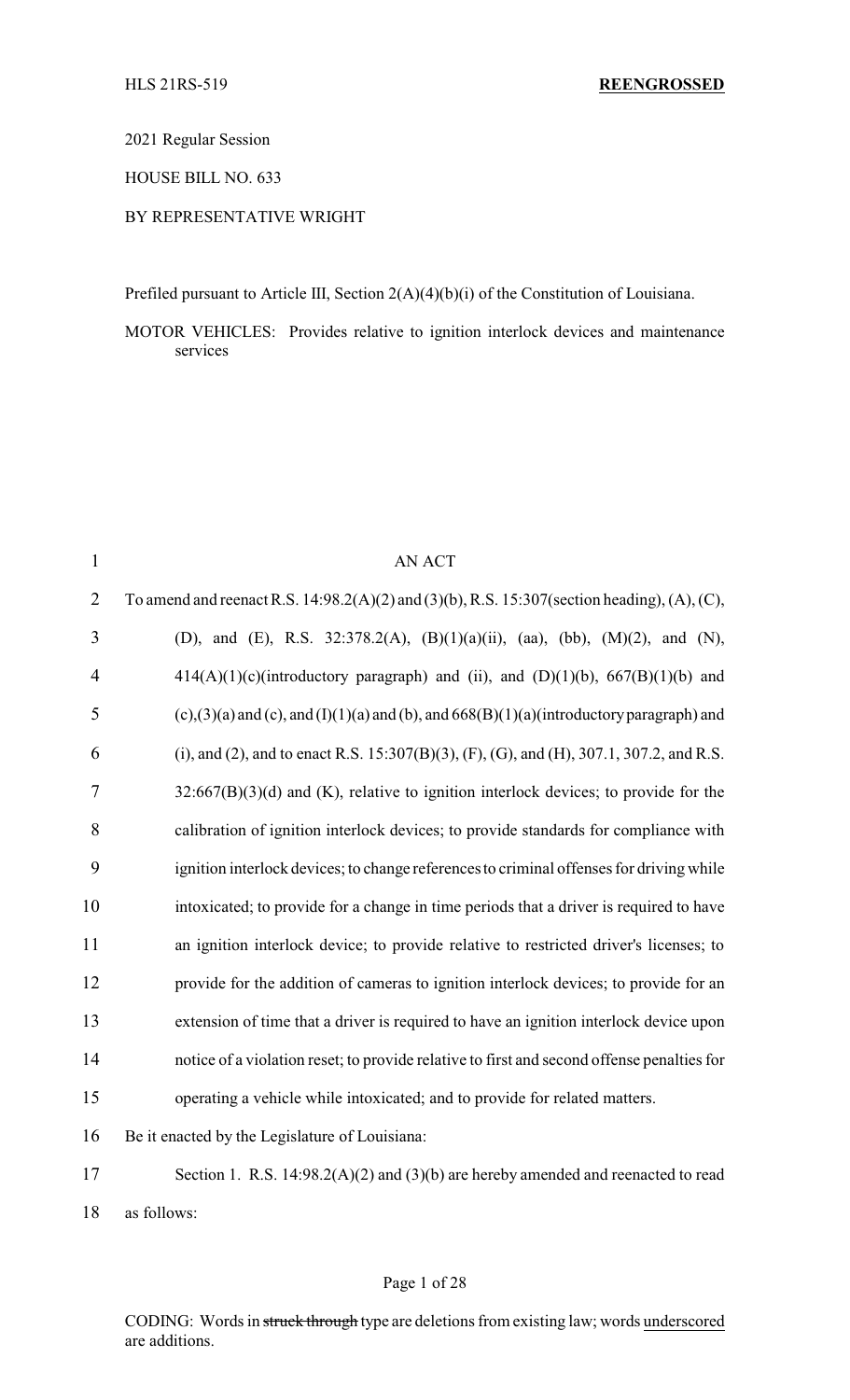2021 Regular Session

HOUSE BILL NO. 633

## BY REPRESENTATIVE WRIGHT

Prefiled pursuant to Article III, Section 2(A)(4)(b)(i) of the Constitution of Louisiana.

MOTOR VEHICLES: Provides relative to ignition interlock devices and maintenance services

| $\mathbf{1}$   | <b>AN ACT</b>                                                                                            |
|----------------|----------------------------------------------------------------------------------------------------------|
| $\overline{2}$ | To amend and reenact R.S. 14:98.2(A)(2) and (3)(b), R.S. 15:307(section heading), (A), (C),              |
| 3              | (D), and (E), R.S. 32:378.2(A), (B)(1)(a)(ii), (aa), (bb), (M)(2), and (N),                              |
| $\overline{4}$ | $414(A)(1)(c)(introductory paragraph)$ and (ii), and (D)(1)(b), 667(B)(1)(b) and                         |
| 5              | $(c)$ , $(3)(a)$ and $(c)$ , and $(I)(1)(a)$ and $(b)$ , and $668(B)(1)(a)$ (introductory paragraph) and |
| 6              | (i), and (2), and to enact R.S. 15:307(B)(3), (F), (G), and (H), 307.1, 307.2, and R.S.                  |
| 7              | $32:667(B)(3)(d)$ and (K), relative to ignition interlock devices; to provide for the                    |
| 8              | calibration of ignition interlock devices; to provide standards for compliance with                      |
| 9              | ignition interlock devices; to change references to criminal offenses for driving while                  |
| 10             | intoxicated; to provide for a change in time periods that a driver is required to have                   |
| 11             | an ignition interlock device; to provide relative to restricted driver's licenses; to                    |
| 12             | provide for the addition of cameras to ignition interlock devices; to provide for an                     |
| 13             | extension of time that a driver is required to have an ignition interlock device upon                    |
| 14             | notice of a violation reset; to provide relative to first and second offense penalties for               |
| 15             | operating a vehicle while intoxicated; and to provide for related matters.                               |
| 16             | Be it enacted by the Legislature of Louisiana:                                                           |
| 17             | Section 1. R.S. 14:98.2(A)(2) and (3)(b) are hereby amended and reenacted to read                        |
| 18             | as follows:                                                                                              |

#### Page 1 of 28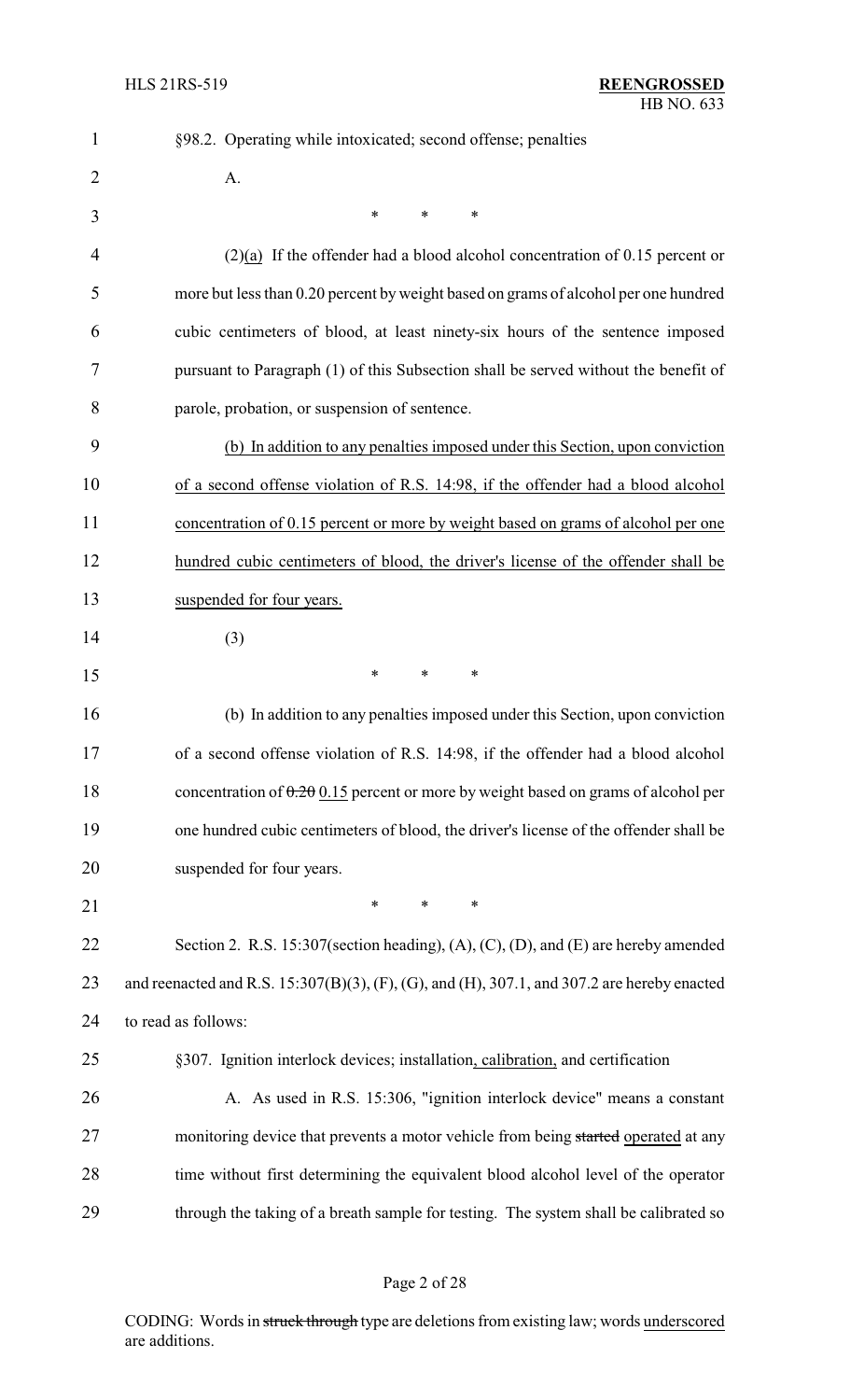| $\mathbf{1}$   | §98.2. Operating while intoxicated; second offense; penalties                                  |
|----------------|------------------------------------------------------------------------------------------------|
| $\overline{2}$ | A.                                                                                             |
| 3              | *<br>*<br>∗                                                                                    |
| 4              | $(2)(a)$ If the offender had a blood alcohol concentration of 0.15 percent or                  |
| 5              | more but less than 0.20 percent by weight based on grams of alcohol per one hundred            |
| 6              | cubic centimeters of blood, at least ninety-six hours of the sentence imposed                  |
| 7              | pursuant to Paragraph (1) of this Subsection shall be served without the benefit of            |
| 8              | parole, probation, or suspension of sentence.                                                  |
| 9              | (b) In addition to any penalties imposed under this Section, upon conviction                   |
| 10             | of a second offense violation of R.S. 14:98, if the offender had a blood alcohol               |
| 11             | concentration of 0.15 percent or more by weight based on grams of alcohol per one              |
| 12             | hundred cubic centimeters of blood, the driver's license of the offender shall be              |
| 13             | suspended for four years.                                                                      |
| 14             | (3)                                                                                            |
| 15             | *<br>*<br>∗                                                                                    |
| 16             | (b) In addition to any penalties imposed under this Section, upon conviction                   |
| 17             | of a second offense violation of R.S. 14:98, if the offender had a blood alcohol               |
| 18             | concentration of $0.20015$ percent or more by weight based on grams of alcohol per             |
| 19             | one hundred cubic centimeters of blood, the driver's license of the offender shall be          |
| 20             | suspended for four years.                                                                      |
| 21             | $\ast$<br>$\ast$<br>*                                                                          |
| 22             | Section 2. R.S. 15:307(section heading), (A), (C), (D), and (E) are hereby amended             |
| 23             | and reenacted and R.S. $15:307(B)(3)$ , (F), (G), and (H), 307.1, and 307.2 are hereby enacted |
| 24             | to read as follows:                                                                            |
| 25             | §307. Ignition interlock devices; installation, calibration, and certification                 |
| 26             | A. As used in R.S. 15:306, "ignition interlock device" means a constant                        |
| 27             | monitoring device that prevents a motor vehicle from being started operated at any             |
| 28             | time without first determining the equivalent blood alcohol level of the operator              |
| 29             | through the taking of a breath sample for testing. The system shall be calibrated so           |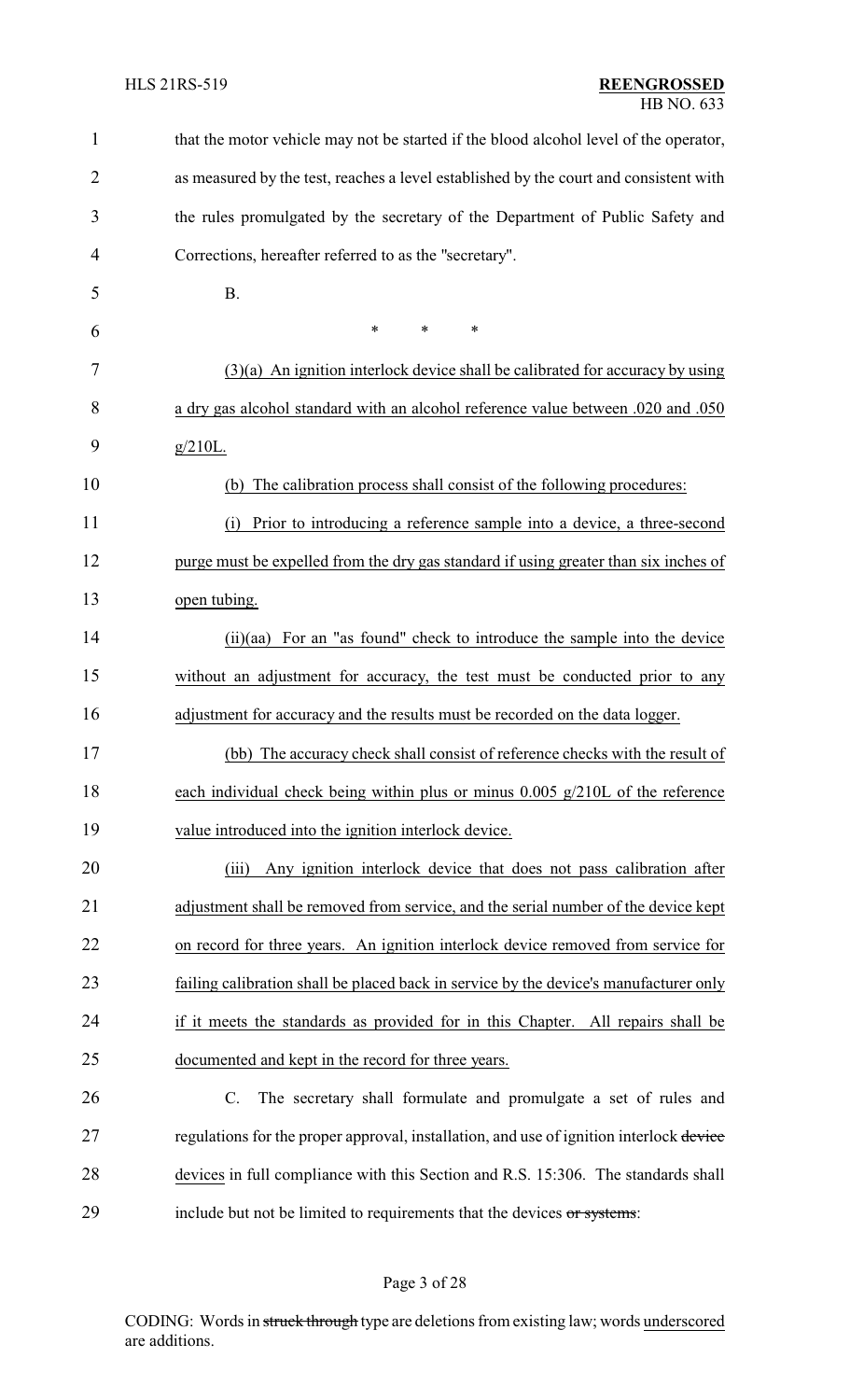| $\mathbf{1}$ | that the motor vehicle may not be started if the blood alcohol level of the operator,   |
|--------------|-----------------------------------------------------------------------------------------|
| 2            | as measured by the test, reaches a level established by the court and consistent with   |
| 3            | the rules promulgated by the secretary of the Department of Public Safety and           |
| 4            | Corrections, hereafter referred to as the "secretary".                                  |
| 5            | <b>B.</b>                                                                               |
| 6            | $\ast$<br>*<br>$\ast$                                                                   |
| 7            | $(3)(a)$ An ignition interlock device shall be calibrated for accuracy by using         |
| 8            | a dry gas alcohol standard with an alcohol reference value between .020 and .050        |
| 9            | $g/210L$ .                                                                              |
| 10           | The calibration process shall consist of the following procedures:<br>(b)               |
| 11           | Prior to introducing a reference sample into a device, a three-second<br>(i)            |
| 12           | purge must be expelled from the dry gas standard if using greater than six inches of    |
| 13           | open tubing.                                                                            |
| 14           | (ii)(aa) For an "as found" check to introduce the sample into the device                |
| 15           | without an adjustment for accuracy, the test must be conducted prior to any             |
| 16           | adjustment for accuracy and the results must be recorded on the data logger.            |
| 17           | (bb) The accuracy check shall consist of reference checks with the result of            |
| 18           | each individual check being within plus or minus $0.005$ g/210L of the reference        |
| 19           | value introduced into the ignition interlock device.                                    |
| 20           | Any ignition interlock device that does not pass calibration after<br>(iii)             |
| 21           | adjustment shall be removed from service, and the serial number of the device kept      |
| 22           | on record for three years. An ignition interlock device removed from service for        |
| 23           | failing calibration shall be placed back in service by the device's manufacturer only   |
| 24           | if it meets the standards as provided for in this Chapter. All repairs shall be         |
| 25           | documented and kept in the record for three years.                                      |
| 26           | The secretary shall formulate and promulgate a set of rules and<br>C.                   |
| 27           | regulations for the proper approval, installation, and use of ignition interlock device |
| 28           | devices in full compliance with this Section and R.S. 15:306. The standards shall       |
| 29           | include but not be limited to requirements that the devices or systems:                 |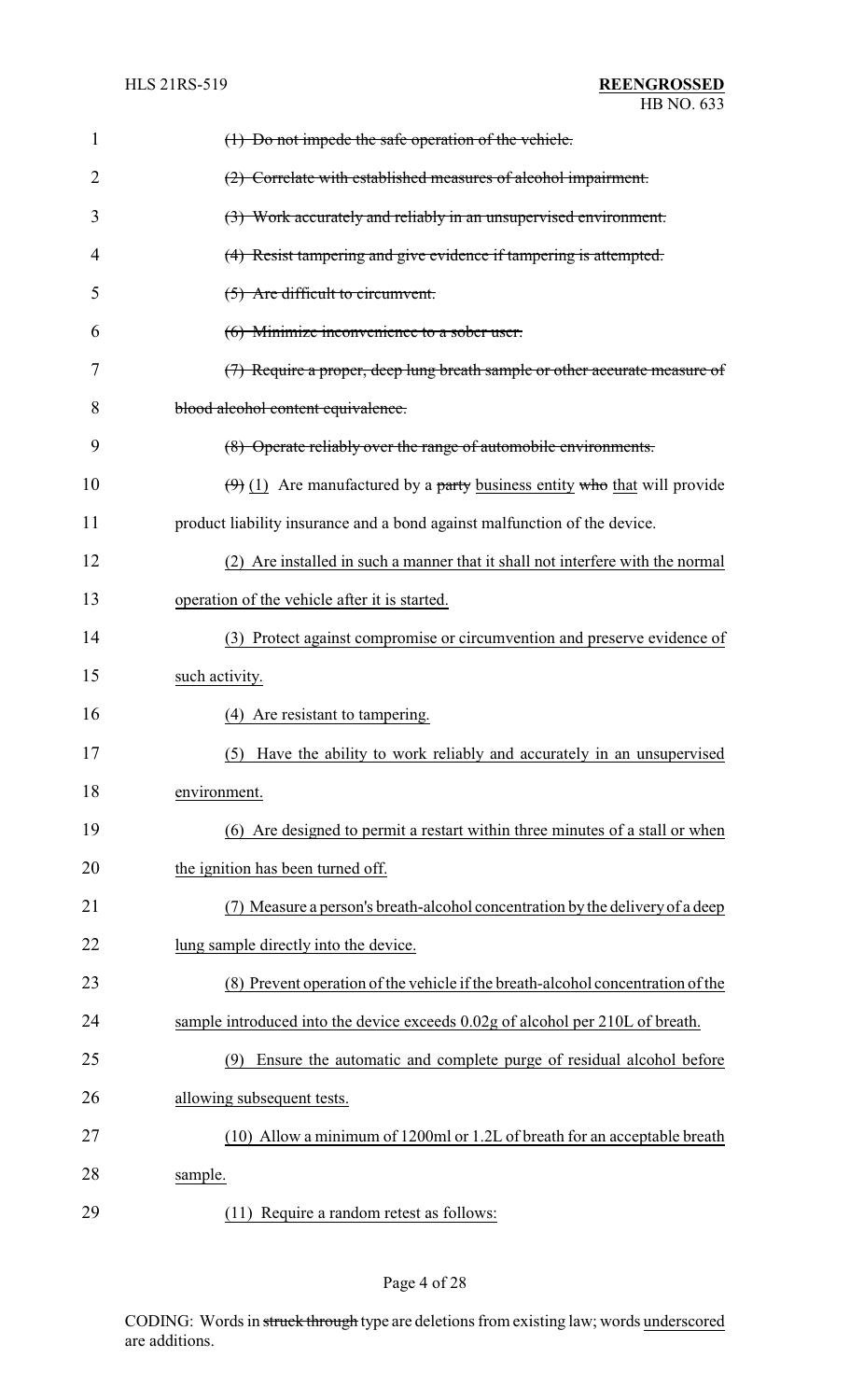| 1              | (1) Do not impede the safe operation of the vehicle.                                             |
|----------------|--------------------------------------------------------------------------------------------------|
| $\overline{2}$ | (2) Correlate with established measures of alcohol impairment.                                   |
| 3              | (3) Work accurately and reliably in an unsupervised environment.                                 |
| 4              | (4) Resist tampering and give evidence if tampering is attempted.                                |
| 5              | (5) Are difficult to circumvent.                                                                 |
| 6              | (6) Minimize inconvenience to a sober user.                                                      |
| 7              | (7) Require a proper, deep lung breath sample or other accurate measure of                       |
| 8              | blood alcohol content equivalence.                                                               |
| 9              | (8) Operate reliably over the range of automobile environments.                                  |
| 10             | $\left(\frac{1}{2}\right)$ (1) Are manufactured by a party business entity who that will provide |
| 11             | product liability insurance and a bond against malfunction of the device.                        |
| 12             | (2) Are installed in such a manner that it shall not interfere with the normal                   |
| 13             | operation of the vehicle after it is started.                                                    |
| 14             | (3) Protect against compromise or circumvention and preserve evidence of                         |
| 15             | such activity.                                                                                   |
| 16             | (4) Are resistant to tampering.                                                                  |
| 17             | Have the ability to work reliably and accurately in an unsupervised<br>(5)                       |
| 18             | environment.                                                                                     |
| 19             | (6) Are designed to permit a restart within three minutes of a stall or when                     |
| 20             | the ignition has been turned off.                                                                |
| 21             | (7) Measure a person's breath-alcohol concentration by the delivery of a deep                    |
| 22             | lung sample directly into the device.                                                            |
| 23             | (8) Prevent operation of the vehicle if the breath-alcohol concentration of the                  |
| 24             | sample introduced into the device exceeds 0.02g of alcohol per 210L of breath.                   |
| 25             | (9) Ensure the automatic and complete purge of residual alcohol before                           |
| 26             | allowing subsequent tests.                                                                       |
| 27             | (10) Allow a minimum of 1200ml or 1.2L of breath for an acceptable breath                        |
| 28             | sample.                                                                                          |
| 29             | (11) Require a random retest as follows:                                                         |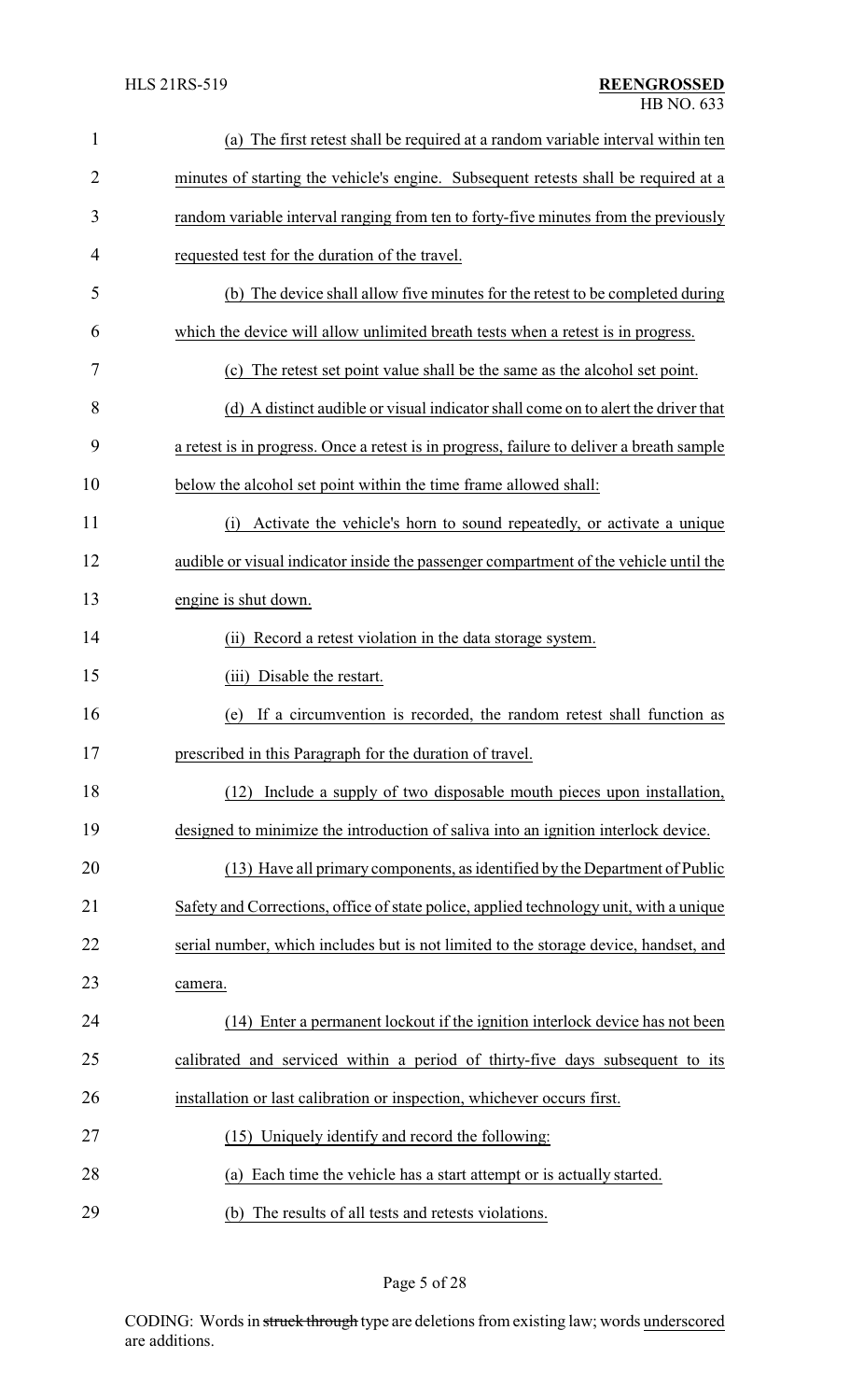| $\mathbf{1}$ | (a) The first retest shall be required at a random variable interval within ten           |
|--------------|-------------------------------------------------------------------------------------------|
| 2            | minutes of starting the vehicle's engine. Subsequent retests shall be required at a       |
| 3            | random variable interval ranging from ten to forty-five minutes from the previously       |
| 4            | requested test for the duration of the travel.                                            |
| 5            | (b) The device shall allow five minutes for the retest to be completed during             |
| 6            | which the device will allow unlimited breath tests when a retest is in progress.          |
| 7            | (c) The retest set point value shall be the same as the alcohol set point.                |
| 8            | (d) A distinct audible or visual indicator shall come on to alert the driver that         |
| 9            | a retest is in progress. Once a retest is in progress, failure to deliver a breath sample |
| 10           | below the alcohol set point within the time frame allowed shall:                          |
| 11           | Activate the vehicle's horn to sound repeatedly, or activate a unique<br>(i)              |
| 12           | audible or visual indicator inside the passenger compartment of the vehicle until the     |
| 13           | engine is shut down.                                                                      |
| 14           | Record a retest violation in the data storage system.<br>(ii)                             |
| 15           | (iii) Disable the restart.                                                                |
| 16           | If a circumvention is recorded, the random retest shall function as<br>(e)                |
| 17           | prescribed in this Paragraph for the duration of travel.                                  |
| 18           | Include a supply of two disposable mouth pieces upon installation,<br>(12)                |
| 19           | designed to minimize the introduction of saliva into an ignition interlock device.        |
| 20           | (13) Have all primary components, as identified by the Department of Public               |
| 21           | Safety and Corrections, office of state police, applied technology unit, with a unique    |
| 22           | serial number, which includes but is not limited to the storage device, handset, and      |
| 23           | camera.                                                                                   |
| 24           | (14) Enter a permanent lockout if the ignition interlock device has not been              |
| 25           | calibrated and serviced within a period of thirty-five days subsequent to its             |
| 26           | installation or last calibration or inspection, whichever occurs first.                   |
| 27           | (15) Uniquely identify and record the following:                                          |
| 28           | (a) Each time the vehicle has a start attempt or is actually started.                     |
| 29           | (b) The results of all tests and retests violations.                                      |

Page 5 of 28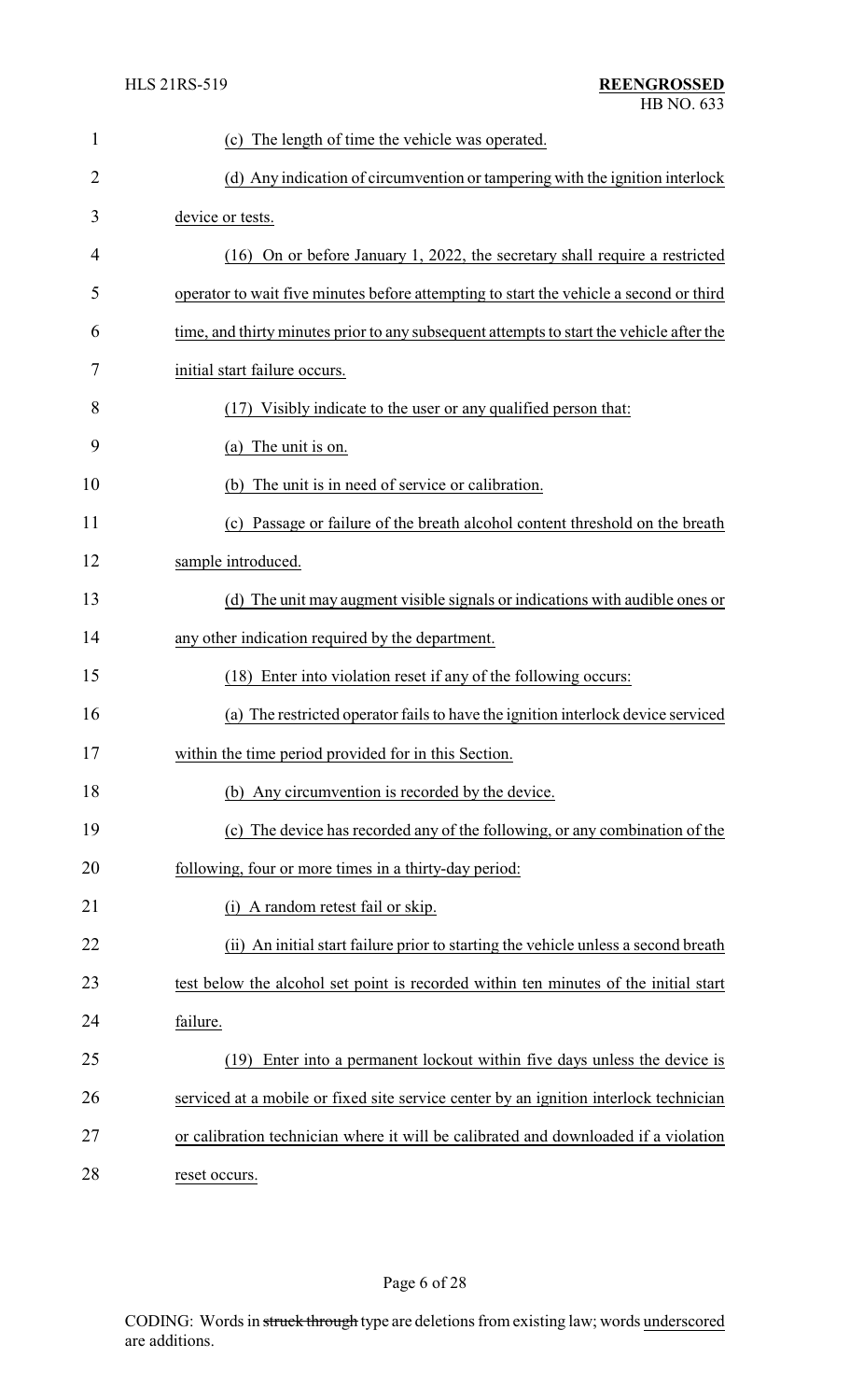| $\mathbf{1}$   | (c) The length of time the vehicle was operated.                                         |
|----------------|------------------------------------------------------------------------------------------|
| $\overline{2}$ | (d) Any indication of circumvention or tampering with the ignition interlock             |
| 3              | device or tests.                                                                         |
| 4              | $(16)$ On or before January 1, 2022, the secretary shall require a restricted            |
| 5              | operator to wait five minutes before attempting to start the vehicle a second or third   |
| 6              | time, and thirty minutes prior to any subsequent attempts to start the vehicle after the |
| 7              | initial start failure occurs.                                                            |
| 8              | (17) Visibly indicate to the user or any qualified person that:                          |
| 9              | (a) The unit is on.                                                                      |
| 10             | The unit is in need of service or calibration.<br>(b)                                    |
| 11             | (c) Passage or failure of the breath alcohol content threshold on the breath             |
| 12             | sample introduced.                                                                       |
| 13             | (d) The unit may augment visible signals or indications with audible ones or             |
| 14             | any other indication required by the department.                                         |
| 15             | (18) Enter into violation reset if any of the following occurs:                          |
| 16             | (a) The restricted operator fails to have the ignition interlock device serviced         |
| 17             | within the time period provided for in this Section.                                     |
| 18             | (b) Any circumvention is recorded by the device.                                         |
| 19             | (c) The device has recorded any of the following, or any combination of the              |
| 20             | following, four or more times in a thirty-day period:                                    |
| 21             | A random retest fail or skip.<br>(i)                                                     |
| 22             | (ii) An initial start failure prior to starting the vehicle unless a second breath       |
| 23             | test below the alcohol set point is recorded within ten minutes of the initial start     |
| 24             | failure.                                                                                 |
| 25             | Enter into a permanent lockout within five days unless the device is<br>(19)             |
| 26             | serviced at a mobile or fixed site service center by an ignition interlock technician    |
| 27             | or calibration technician where it will be calibrated and downloaded if a violation      |
| 28             | reset occurs.                                                                            |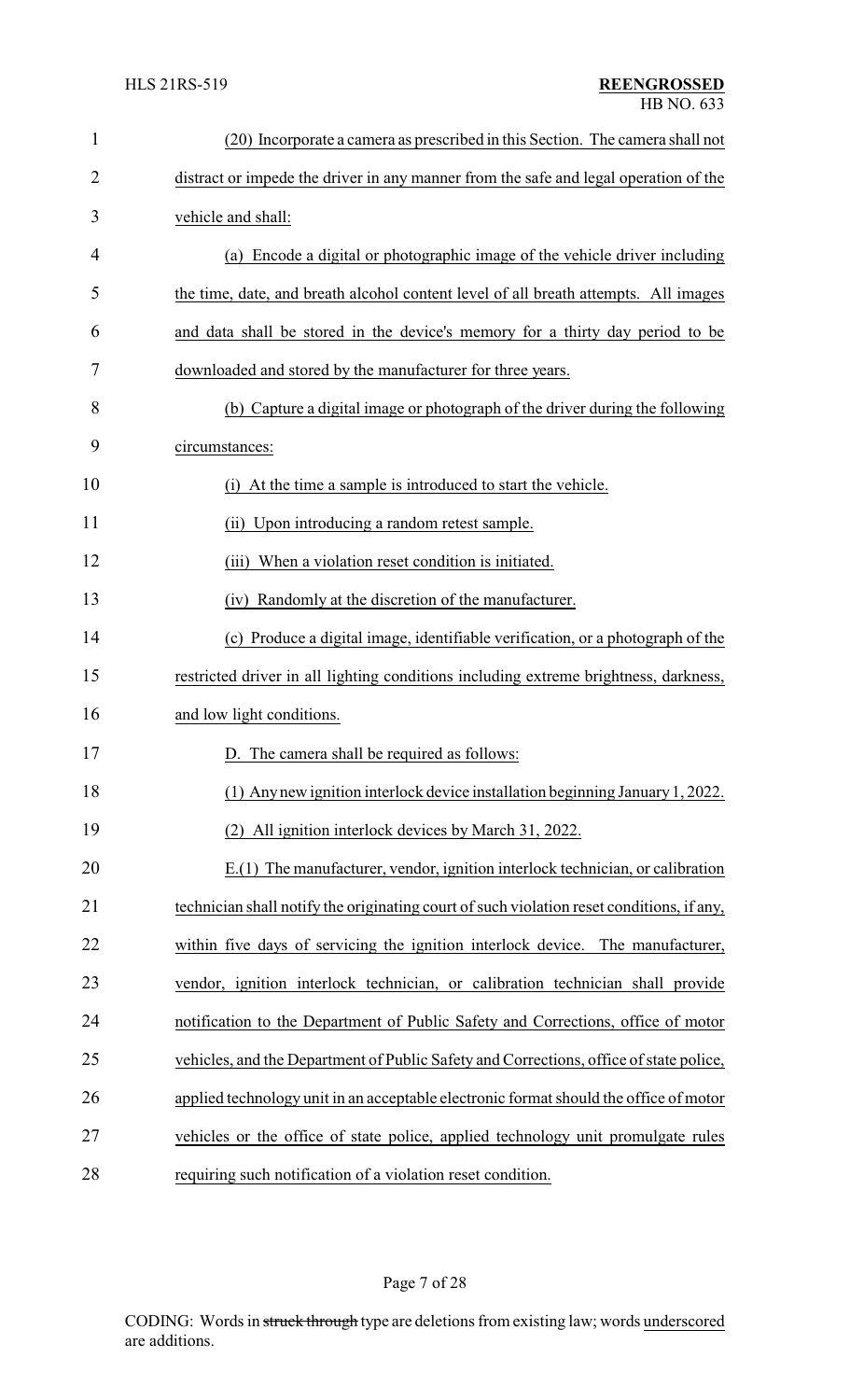| $\mathbf{1}$   | (20) Incorporate a camera as prescribed in this Section. The camera shall not             |
|----------------|-------------------------------------------------------------------------------------------|
| $\overline{2}$ | distract or impede the driver in any manner from the safe and legal operation of the      |
| 3              | vehicle and shall:                                                                        |
| 4              | (a) Encode a digital or photographic image of the vehicle driver including                |
| 5              | the time, date, and breath alcohol content level of all breath attempts. All images       |
| 6              | and data shall be stored in the device's memory for a thirty day period to be             |
| 7              | downloaded and stored by the manufacturer for three years.                                |
| 8              | (b) Capture a digital image or photograph of the driver during the following              |
| 9              | circumstances:                                                                            |
| 10             | (i) At the time a sample is introduced to start the vehicle.                              |
| 11             | (ii) Upon introducing a random retest sample.                                             |
| 12             | When a violation reset condition is initiated.<br>(iii)                                   |
| 13             | Randomly at the discretion of the manufacturer.<br>(iv)                                   |
| 14             | (c) Produce a digital image, identifiable verification, or a photograph of the            |
| 15             | restricted driver in all lighting conditions including extreme brightness, darkness,      |
| 16             | and low light conditions.                                                                 |
| 17             | D. The camera shall be required as follows:                                               |
| 18             | (1) Any new ignition interlock device installation beginning January 1, 2022.             |
| 19             | (2) All ignition interlock devices by March 31, 2022.                                     |
| 20             | E.(1) The manufacturer, vendor, ignition interlock technician, or calibration             |
| 21             | technician shall notify the originating court of such violation reset conditions, if any, |
| 22             | within five days of servicing the ignition interlock device. The manufacturer,            |
| 23             | vendor, ignition interlock technician, or calibration technician shall provide            |
| 24             | notification to the Department of Public Safety and Corrections, office of motor          |
| 25             | vehicles, and the Department of Public Safety and Corrections, office of state police,    |
| 26             | applied technology unit in an acceptable electronic format should the office of motor     |
| 27             | vehicles or the office of state police, applied technology unit promulgate rules          |
| 28             | requiring such notification of a violation reset condition.                               |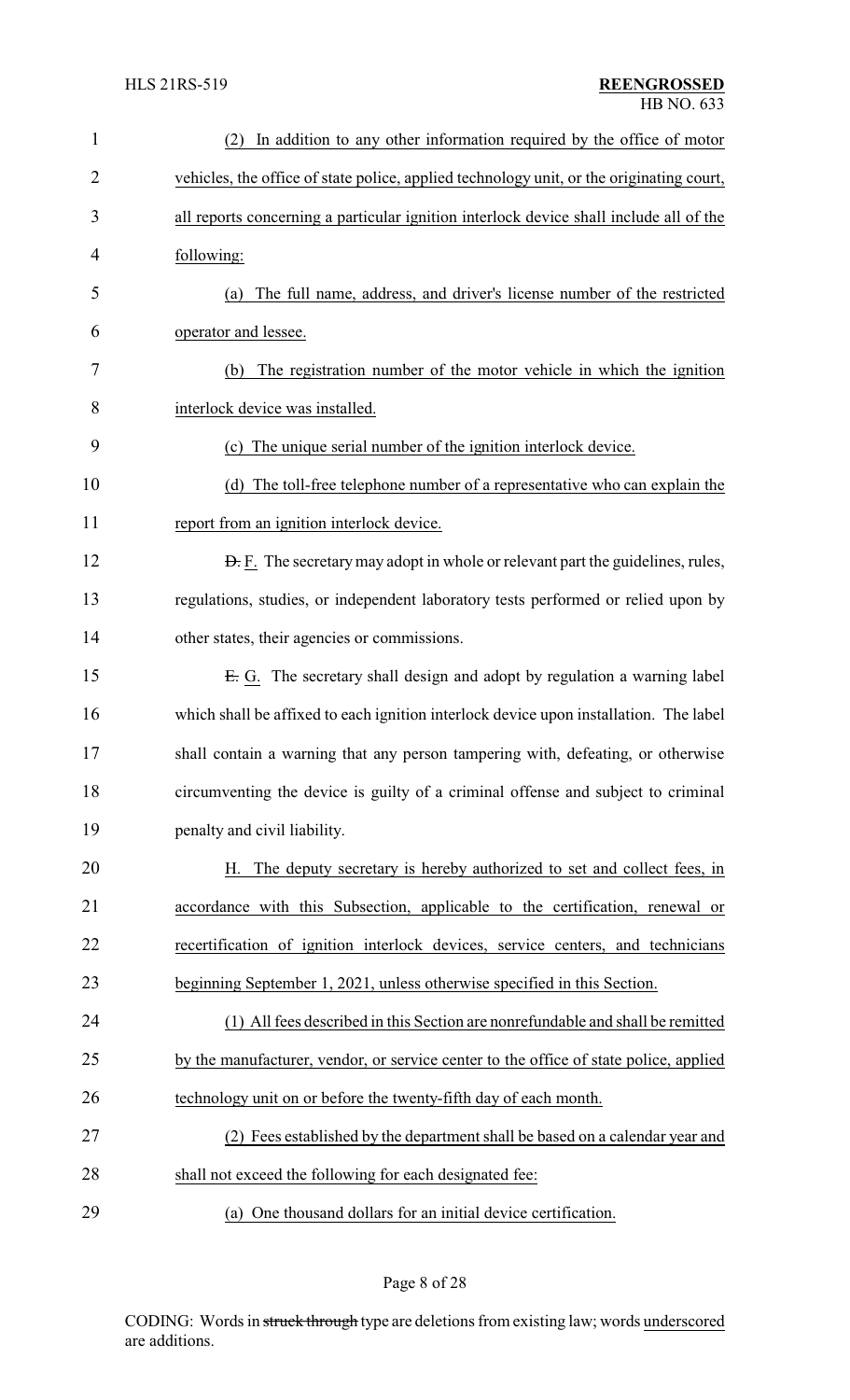| $\mathbf{1}$   | In addition to any other information required by the office of motor<br>(2)              |
|----------------|------------------------------------------------------------------------------------------|
| $\overline{2}$ | vehicles, the office of state police, applied technology unit, or the originating court, |
| 3              | all reports concerning a particular ignition interlock device shall include all of the   |
| 4              | following:                                                                               |
| 5              | The full name, address, and driver's license number of the restricted<br>(a)             |
| 6              | operator and lessee.                                                                     |
| 7              | The registration number of the motor vehicle in which the ignition<br>(b)                |
| 8              | interlock device was installed.                                                          |
| 9              | (c) The unique serial number of the ignition interlock device.                           |
| 10             | The toll-free telephone number of a representative who can explain the<br>(d)            |
| 11             | report from an ignition interlock device.                                                |
| 12             | <b>D.</b> F. The secretary may adopt in whole or relevant part the guidelines, rules,    |
| 13             | regulations, studies, or independent laboratory tests performed or relied upon by        |
| 14             | other states, their agencies or commissions.                                             |
| 15             | $E$ . G. The secretary shall design and adopt by regulation a warning label              |
| 16             | which shall be affixed to each ignition interlock device upon installation. The label    |
| 17             | shall contain a warning that any person tampering with, defeating, or otherwise          |
| 18             | circumventing the device is guilty of a criminal offense and subject to criminal         |
| 19             | penalty and civil liability.                                                             |
| 20             | H. The deputy secretary is hereby authorized to set and collect fees, in                 |
| 21             | accordance with this Subsection, applicable to the certification, renewal or             |
| 22             | recertification of ignition interlock devices, service centers, and technicians          |
| 23             | beginning September 1, 2021, unless otherwise specified in this Section.                 |
| 24             | (1) All fees described in this Section are nonrefundable and shall be remitted           |
| 25             | by the manufacturer, vendor, or service center to the office of state police, applied    |
| 26             | technology unit on or before the twenty-fifth day of each month.                         |
| 27             | (2) Fees established by the department shall be based on a calendar year and             |
| 28             | shall not exceed the following for each designated fee:                                  |
| 29             | (a) One thousand dollars for an initial device certification.                            |

Page 8 of 28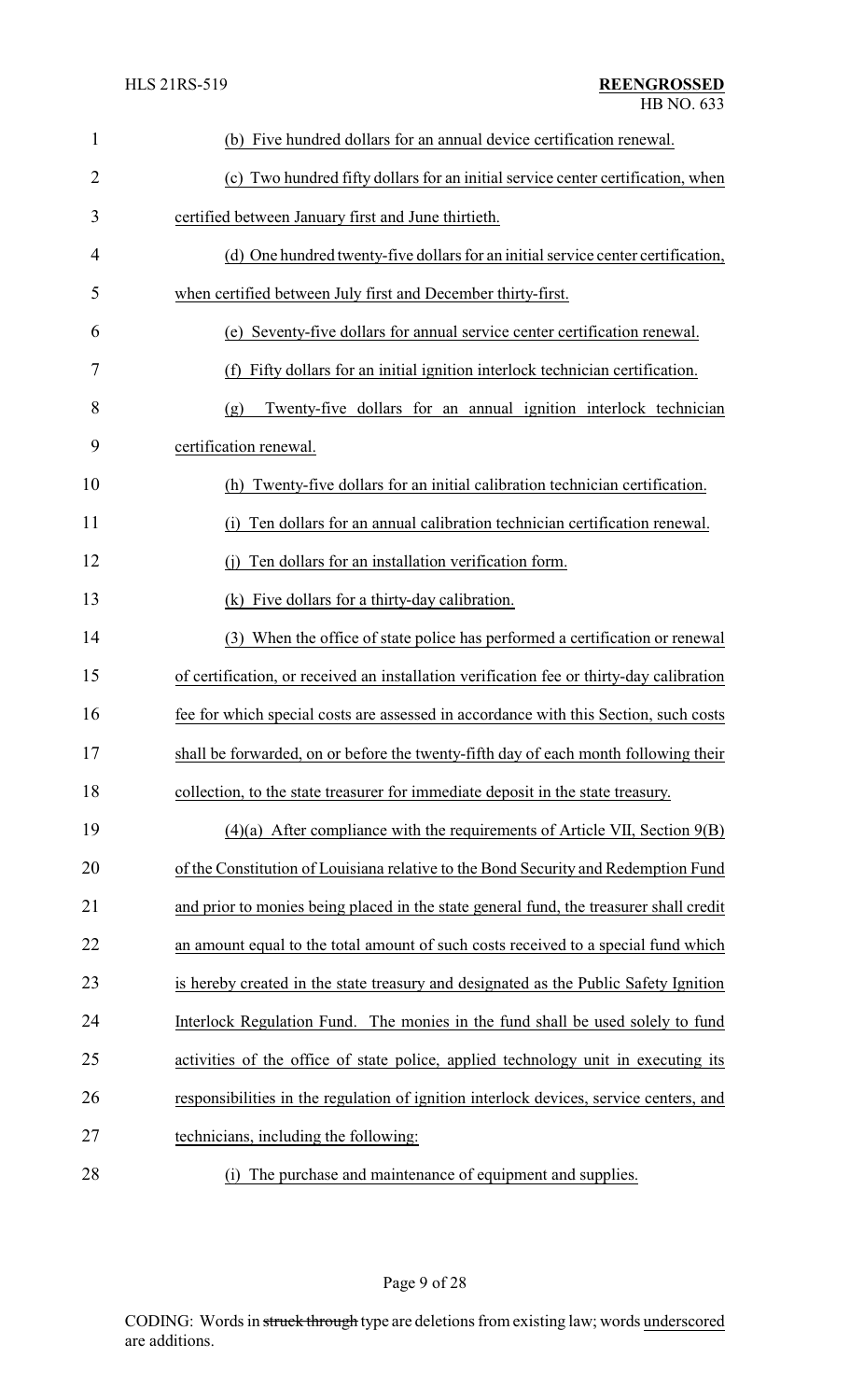| $\mathbf{1}$   | (b) Five hundred dollars for an annual device certification renewal.                     |
|----------------|------------------------------------------------------------------------------------------|
| $\overline{2}$ | (c) Two hundred fifty dollars for an initial service center certification, when          |
| 3              | certified between January first and June thirtieth.                                      |
| 4              | (d) One hundred twenty-five dollars for an initial service center certification,         |
| 5              | when certified between July first and December thirty-first.                             |
| 6              | (e) Seventy-five dollars for annual service center certification renewal.                |
| 7              | Fifty dollars for an initial ignition interlock technician certification.<br>(f)         |
| 8              | Twenty-five dollars for an annual ignition interlock technician<br>(g)                   |
| 9              | certification renewal.                                                                   |
| 10             | Twenty-five dollars for an initial calibration technician certification.<br>(h)          |
| 11             | Ten dollars for an annual calibration technician certification renewal.<br>(i)           |
| 12             | Ten dollars for an installation verification form.<br>(i)                                |
| 13             | (k) Five dollars for a thirty-day calibration.                                           |
| 14             | (3) When the office of state police has performed a certification or renewal             |
| 15             | of certification, or received an installation verification fee or thirty-day calibration |
| 16             | fee for which special costs are assessed in accordance with this Section, such costs     |
| 17             | shall be forwarded, on or before the twenty-fifth day of each month following their      |
| 18             | collection, to the state treasurer for immediate deposit in the state treasury.          |
| 19             | $(4)(a)$ After compliance with the requirements of Article VII, Section $9(B)$           |
| 20             | of the Constitution of Louisiana relative to the Bond Security and Redemption Fund       |
| 21             | and prior to monies being placed in the state general fund, the treasurer shall credit   |
| 22             | an amount equal to the total amount of such costs received to a special fund which       |
| 23             | is hereby created in the state treasury and designated as the Public Safety Ignition     |
| 24             | Interlock Regulation Fund. The monies in the fund shall be used solely to fund           |
| 25             | activities of the office of state police, applied technology unit in executing its       |
| 26             | responsibilities in the regulation of ignition interlock devices, service centers, and   |
| 27             | technicians, including the following:                                                    |
| 28             | The purchase and maintenance of equipment and supplies.<br>(i)                           |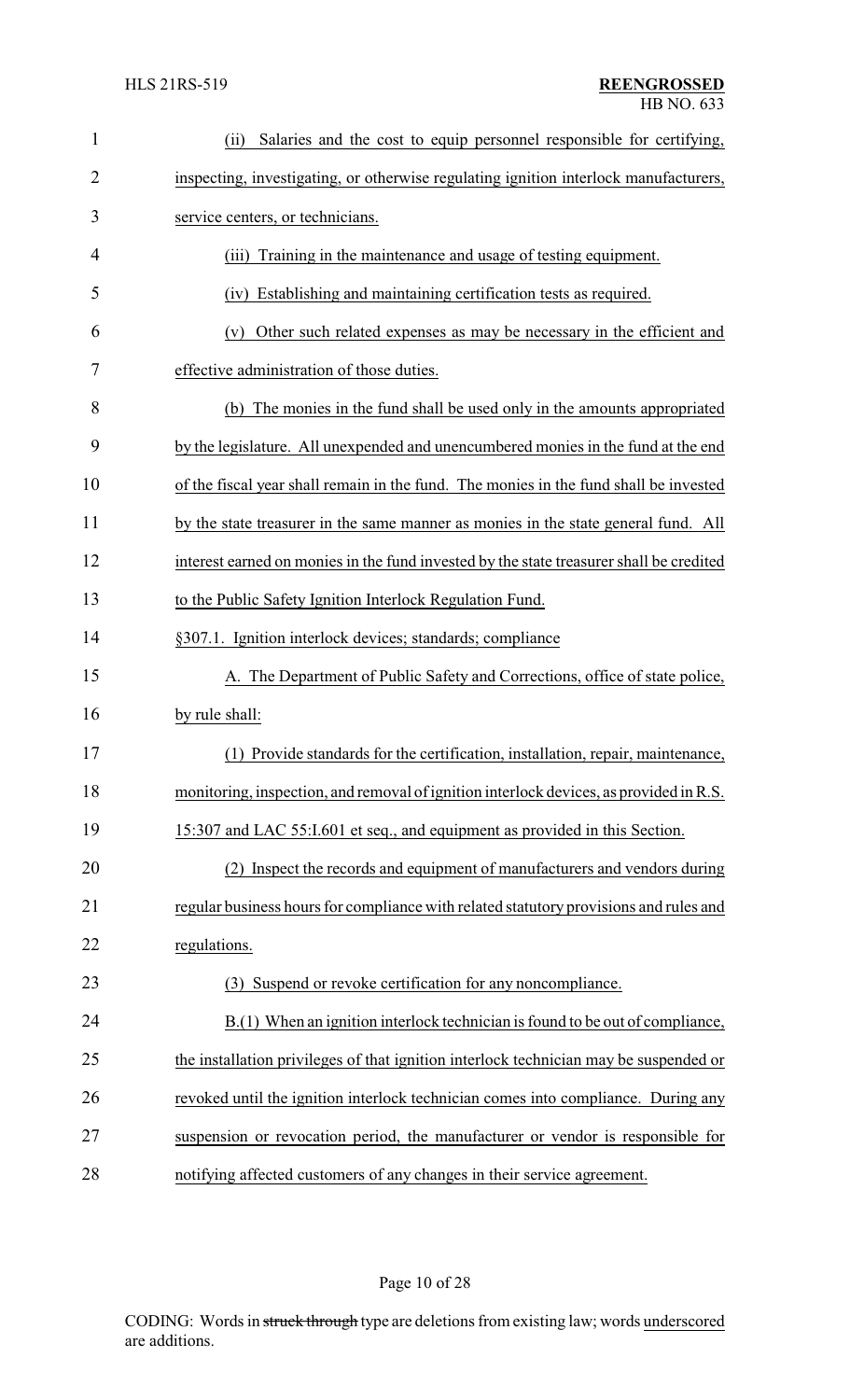| $\mathbf{1}$ | Salaries and the cost to equip personnel responsible for certifying,<br>(ii)            |
|--------------|-----------------------------------------------------------------------------------------|
| 2            | inspecting, investigating, or otherwise regulating ignition interlock manufacturers,    |
| 3            | service centers, or technicians.                                                        |
| 4            | Training in the maintenance and usage of testing equipment.<br>(iii)                    |
| 5            | Establishing and maintaining certification tests as required.<br>(iv)                   |
| 6            | Other such related expenses as may be necessary in the efficient and<br>(v)             |
| 7            | effective administration of those duties.                                               |
| 8            | (b) The monies in the fund shall be used only in the amounts appropriated               |
| 9            | by the legislature. All unexpended and unencumbered monies in the fund at the end       |
| 10           | of the fiscal year shall remain in the fund. The monies in the fund shall be invested   |
| 11           | by the state treasurer in the same manner as monies in the state general fund. All      |
| 12           | interest earned on monies in the fund invested by the state treasurer shall be credited |
| 13           | to the Public Safety Ignition Interlock Regulation Fund.                                |
| 14           | §307.1. Ignition interlock devices; standards; compliance                               |
| 15           | A. The Department of Public Safety and Corrections, office of state police,             |
| 16           | by rule shall:                                                                          |
| 17           | (1) Provide standards for the certification, installation, repair, maintenance          |
| 18           | monitoring, inspection, and removal of ignition interlock devices, as provided in R.S.  |
| 19           | 15:307 and LAC 55:1.601 et seq., and equipment as provided in this Section.             |
| 20           | (2) Inspect the records and equipment of manufacturers and vendors during               |
| 21           | regular business hours for compliance with related statutory provisions and rules and   |
| 22           | regulations.                                                                            |
| 23           | (3) Suspend or revoke certification for any noncompliance.                              |
| 24           | $B(1)$ When an ignition interlock technician is found to be out of compliance,          |
| 25           | the installation privileges of that ignition interlock technician may be suspended or   |
| 26           | revoked until the ignition interlock technician comes into compliance. During any       |
| 27           | suspension or revocation period, the manufacturer or vendor is responsible for          |
| 28           | notifying affected customers of any changes in their service agreement.                 |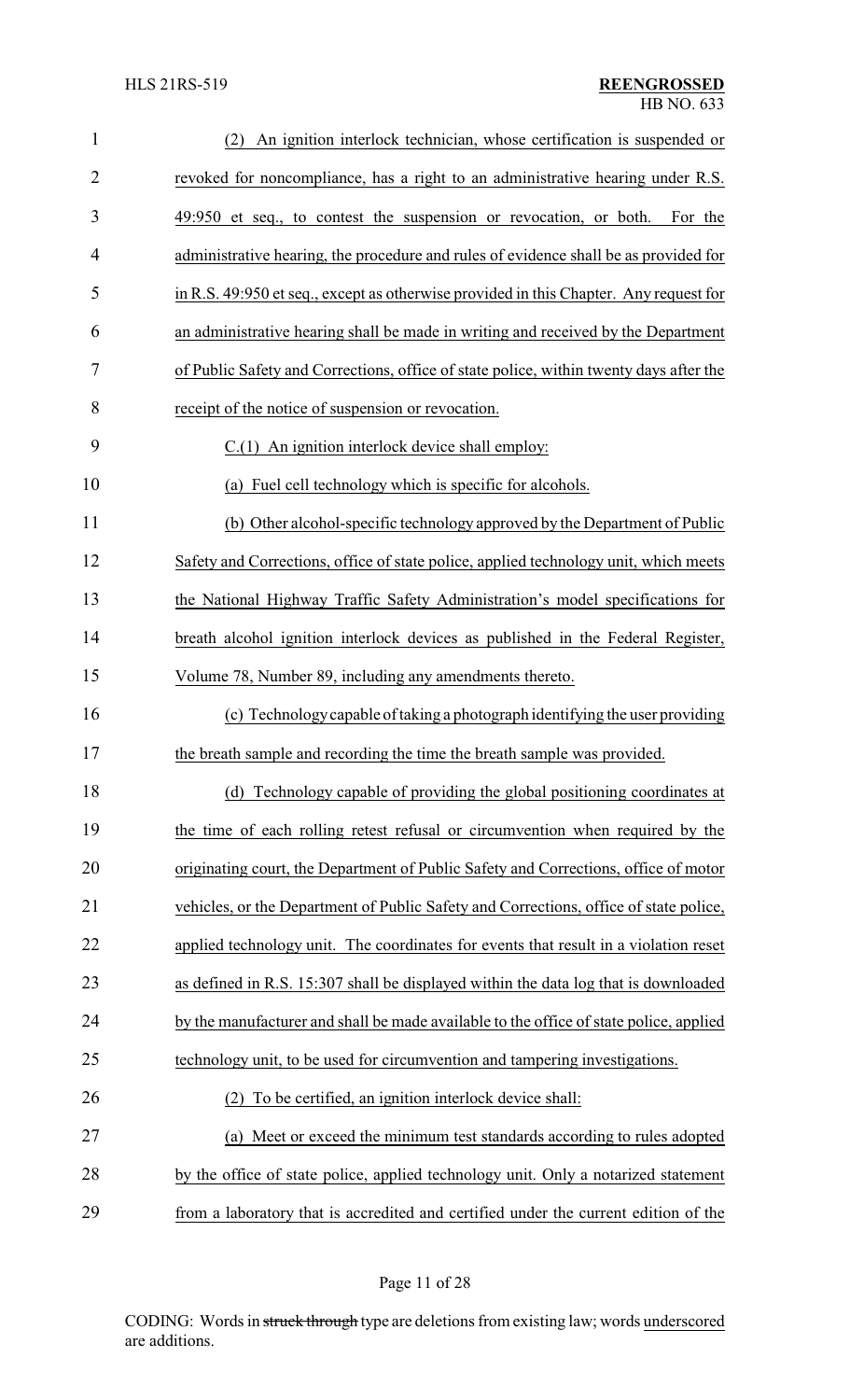| $\mathbf{1}$   | An ignition interlock technician, whose certification is suspended or<br>(2)           |
|----------------|----------------------------------------------------------------------------------------|
| $\overline{2}$ | revoked for noncompliance, has a right to an administrative hearing under R.S.         |
| 3              | 49:950 et seq., to contest the suspension or revocation, or both.<br>For the           |
| 4              | administrative hearing, the procedure and rules of evidence shall be as provided for   |
| 5              | in R.S. 49:950 et seq., except as otherwise provided in this Chapter. Any request for  |
| 6              | an administrative hearing shall be made in writing and received by the Department      |
| 7              | of Public Safety and Corrections, office of state police, within twenty days after the |
| 8              | receipt of the notice of suspension or revocation.                                     |
| 9              | C.(1) An ignition interlock device shall employ:                                       |
| 10             | (a) Fuel cell technology which is specific for alcohols.                               |
| 11             | (b) Other alcohol-specific technology approved by the Department of Public             |
| 12             | Safety and Corrections, office of state police, applied technology unit, which meets   |
| 13             | the National Highway Traffic Safety Administration's model specifications for          |
| 14             | breath alcohol ignition interlock devices as published in the Federal Register,        |
| 15             | Volume 78, Number 89, including any amendments thereto.                                |
| 16             | (c) Technology capable of taking a photograph identifying the user providing           |
| 17             | the breath sample and recording the time the breath sample was provided.               |
| 18             | (d) Technology capable of providing the global positioning coordinates at              |
| 19             | the time of each rolling retest refusal or circumvention when required by the          |
| 20             | originating court, the Department of Public Safety and Corrections, office of motor    |
| 21             | vehicles, or the Department of Public Safety and Corrections, office of state police,  |
| 22             | applied technology unit. The coordinates for events that result in a violation reset   |
| 23             | as defined in R.S. 15:307 shall be displayed within the data log that is downloaded    |
| 24             | by the manufacturer and shall be made available to the office of state police, applied |
| 25             | technology unit, to be used for circumvention and tampering investigations.            |
| 26             | To be certified, an ignition interlock device shall:                                   |
| 27             | Meet or exceed the minimum test standards according to rules adopted<br>(a)            |
| 28             | by the office of state police, applied technology unit. Only a notarized statement     |
| 29             | from a laboratory that is accredited and certified under the current edition of the    |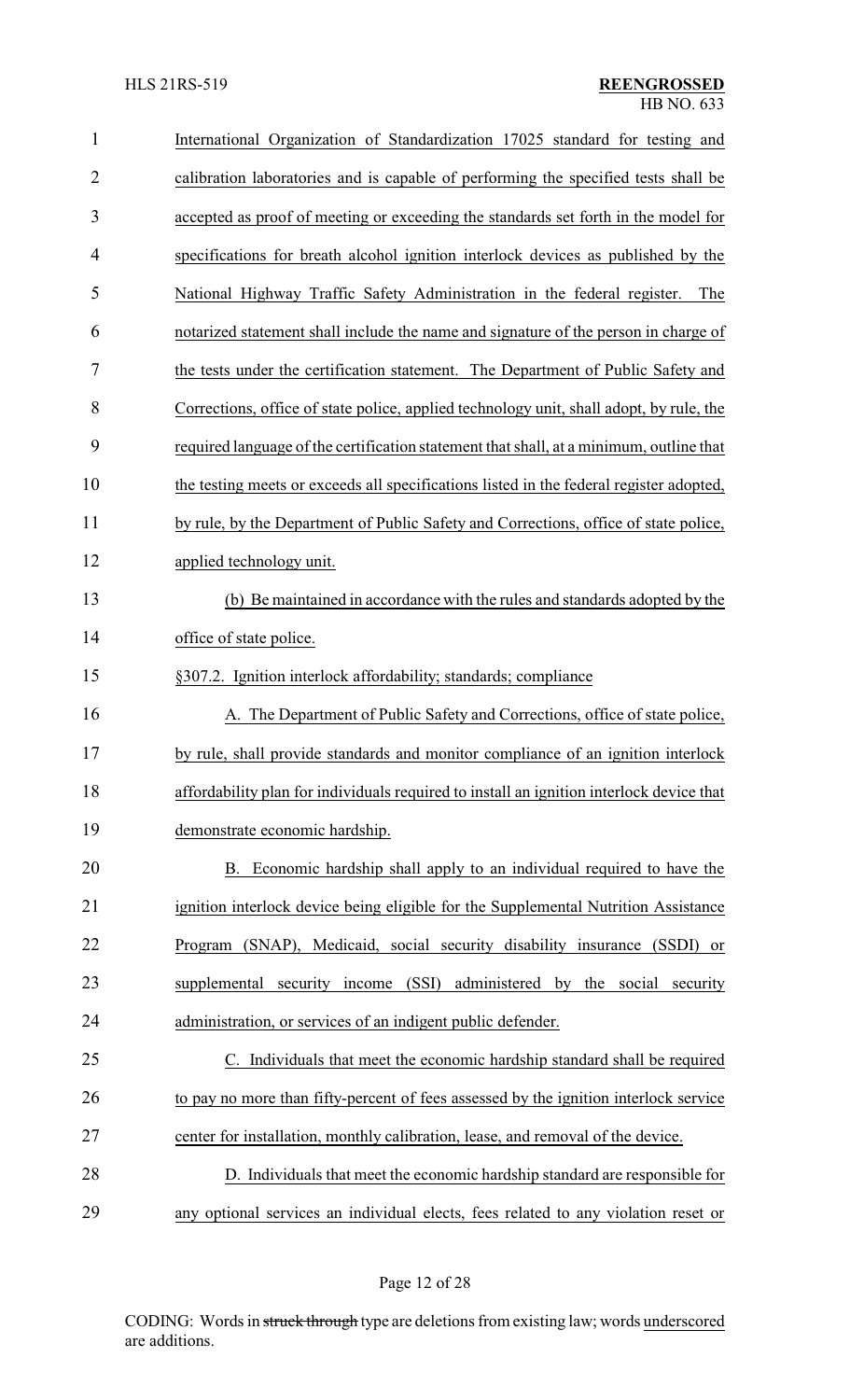| $\mathbf{1}$   | International Organization of Standardization 17025 standard for testing and             |
|----------------|------------------------------------------------------------------------------------------|
| $\overline{2}$ | calibration laboratories and is capable of performing the specified tests shall be       |
| 3              | accepted as proof of meeting or exceeding the standards set forth in the model for       |
| 4              | specifications for breath alcohol ignition interlock devices as published by the         |
| 5              | National Highway Traffic Safety Administration in the federal register.<br>The           |
| 6              | notarized statement shall include the name and signature of the person in charge of      |
| 7              | the tests under the certification statement. The Department of Public Safety and         |
| 8              | Corrections, office of state police, applied technology unit, shall adopt, by rule, the  |
| 9              | required language of the certification statement that shall, at a minimum, outline that  |
| 10             | the testing meets or exceeds all specifications listed in the federal register adopted,  |
| 11             | by rule, by the Department of Public Safety and Corrections, office of state police,     |
| 12             | applied technology unit.                                                                 |
| 13             | (b) Be maintained in accordance with the rules and standards adopted by the              |
| 14             | office of state police.                                                                  |
| 15             | §307.2. Ignition interlock affordability; standards; compliance                          |
| 16             | A. The Department of Public Safety and Corrections, office of state police,              |
| 17             | by rule, shall provide standards and monitor compliance of an ignition interlock         |
| 18             | affordability plan for individuals required to install an ignition interlock device that |
| 19             | demonstrate economic hardship.                                                           |
| 20             | Economic hardship shall apply to an individual required to have the<br>В.                |
| 21             | ignition interlock device being eligible for the Supplemental Nutrition Assistance       |
| 22             | Program (SNAP), Medicaid, social security disability insurance (SSDI) or                 |
| 23             | supplemental security income (SSI) administered by the social<br>security                |
| 24             | administration, or services of an indigent public defender.                              |
| 25             | C. Individuals that meet the economic hardship standard shall be required                |
| 26             | to pay no more than fifty-percent of fees assessed by the ignition interlock service     |
| 27             | center for installation, monthly calibration, lease, and removal of the device.          |
| 28             | D. Individuals that meet the economic hardship standard are responsible for              |
| 29             | any optional services an individual elects, fees related to any violation reset or       |

Page 12 of 28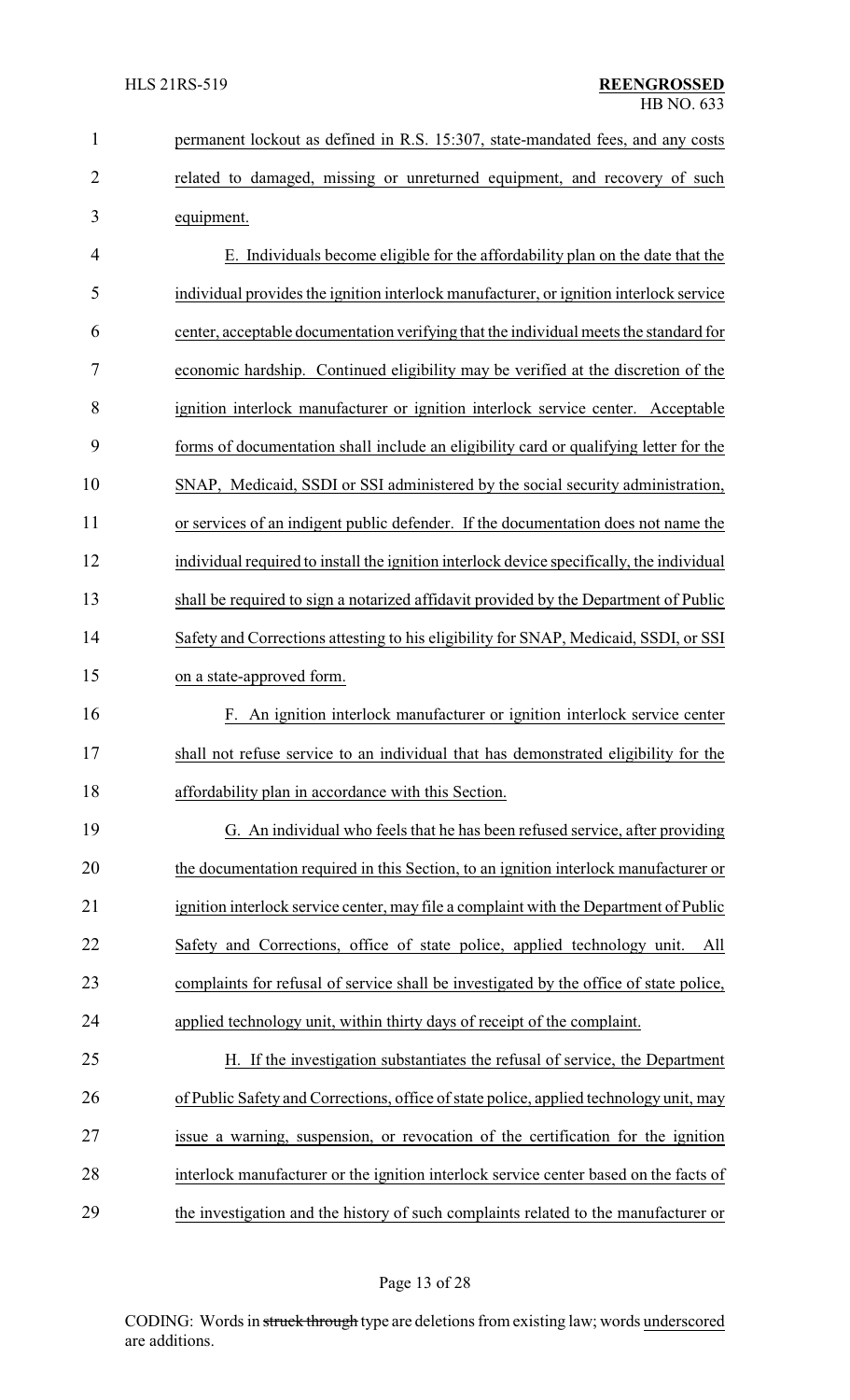| $\mathbf{1}$   | permanent lockout as defined in R.S. 15:307, state-mandated fees, and any costs           |
|----------------|-------------------------------------------------------------------------------------------|
| $\overline{2}$ | related to damaged, missing or unreturned equipment, and recovery of such                 |
| 3              | equipment.                                                                                |
| 4              | E. Individuals become eligible for the affordability plan on the date that the            |
| 5              | individual provides the ignition interlock manufacturer, or ignition interlock service    |
| 6              | center, acceptable documentation verifying that the individual meets the standard for     |
| 7              | economic hardship. Continued eligibility may be verified at the discretion of the         |
| 8              | ignition interlock manufacturer or ignition interlock service center. Acceptable          |
| 9              | forms of documentation shall include an eligibility card or qualifying letter for the     |
| 10             | SNAP, Medicaid, SSDI or SSI administered by the social security administration,           |
| 11             | or services of an indigent public defender. If the documentation does not name the        |
| 12             | individual required to install the ignition interlock device specifically, the individual |
| 13             | shall be required to sign a notarized affidavit provided by the Department of Public      |
| 14             | Safety and Corrections attesting to his eligibility for SNAP, Medicaid, SSDI, or SSI      |
| 15             | on a state-approved form.                                                                 |
| 16             | An ignition interlock manufacturer or ignition interlock service center<br>F.             |
| 17             | shall not refuse service to an individual that has demonstrated eligibility for the       |
| 18             | affordability plan in accordance with this Section.                                       |
| 19             | G. An individual who feels that he has been refused service, after providing              |
| 20             | the documentation required in this Section, to an ignition interlock manufacturer or      |
| 21             | ignition interlock service center, may file a complaint with the Department of Public     |
| 22             | Safety and Corrections, office of state police, applied technology unit.<br>All           |
| 23             | complaints for refusal of service shall be investigated by the office of state police,    |
| 24             | applied technology unit, within thirty days of receipt of the complaint.                  |
| 25             | H. If the investigation substantiates the refusal of service, the Department              |
| 26             | of Public Safety and Corrections, office of state police, applied technology unit, may    |
| 27             | issue a warning, suspension, or revocation of the certification for the ignition          |
| 28             | interlock manufacturer or the ignition interlock service center based on the facts of     |
| 29             | the investigation and the history of such complaints related to the manufacturer or       |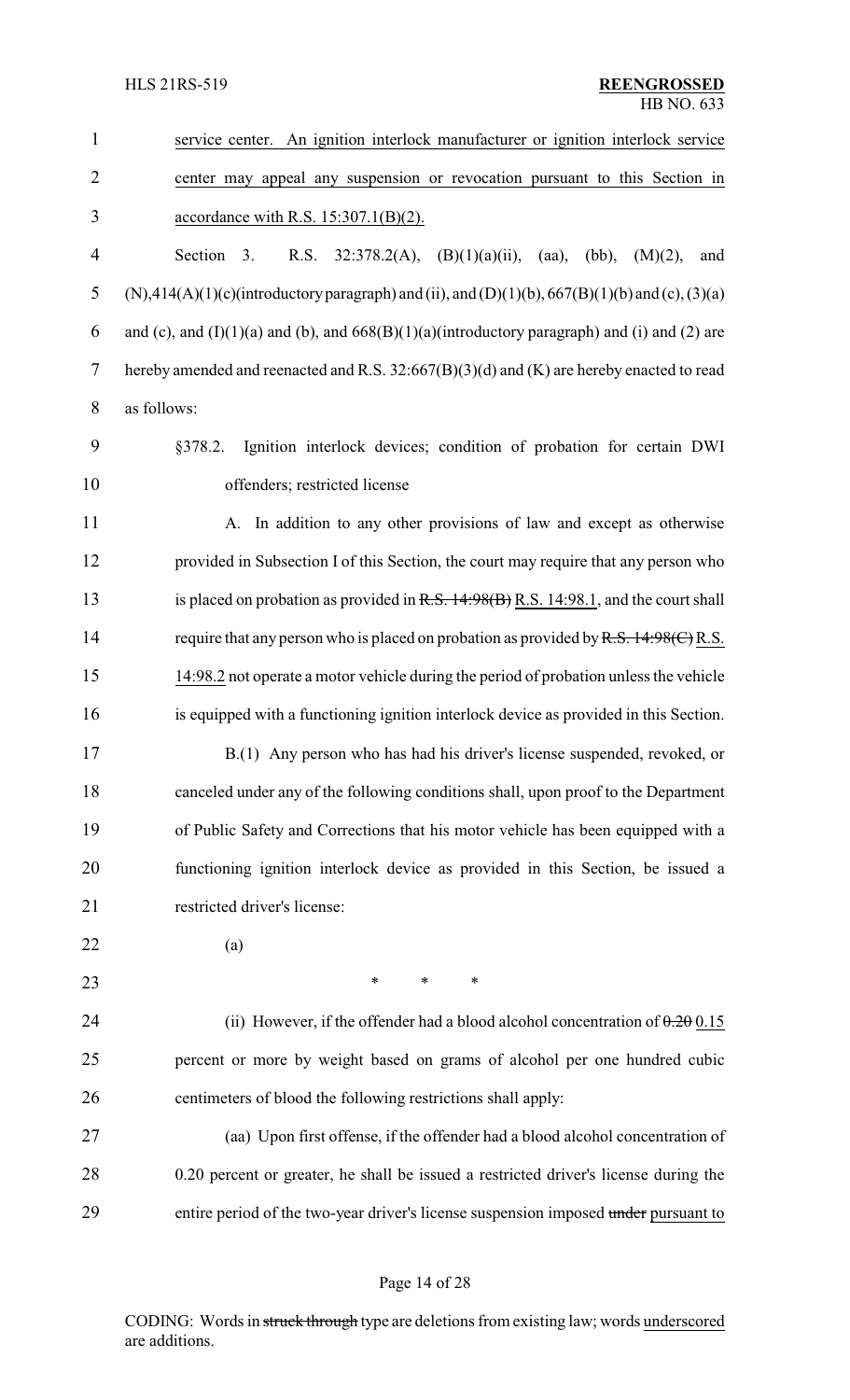| $\mathbf{1}$   | service center. An ignition interlock manufacturer or ignition interlock service                     |
|----------------|------------------------------------------------------------------------------------------------------|
| $\overline{2}$ | center may appeal any suspension or revocation pursuant to this Section in                           |
| 3              | accordance with R.S. $15:307.1(B)(2)$ .                                                              |
| $\overline{4}$ | R.S. $32:378.2(A)$ , $(B)(1)(a)(ii)$ , $(aa)$ , $(bb)$ ,<br>Section 3.<br>(M)(2),<br>and             |
| 5              | (N),414(A)(1)(c)(introductory paragraph) and (ii), and (D)(1)(b), 667(B)(1)(b) and (c), (3)(a)       |
| 6              | and (c), and $(I)(1)(a)$ and $(b)$ , and $668(B)(1)(a)$ (introductory paragraph) and (i) and (2) are |
| $\tau$         | hereby amended and reenacted and R.S. 32:667(B)(3)(d) and (K) are hereby enacted to read             |
| 8              | as follows:                                                                                          |
| 9              | Ignition interlock devices; condition of probation for certain DWI<br>§378.2.                        |
| 10             | offenders; restricted license                                                                        |
| 11             | A. In addition to any other provisions of law and except as otherwise                                |
| 12             | provided in Subsection I of this Section, the court may require that any person who                  |
| 13             | is placed on probation as provided in $R.S. 14.98(B) R.S. 14.98.1$ , and the court shall             |
| 14             | require that any person who is placed on probation as provided by R.S. $14:98(C)$ R.S.               |
| 15             | 14:98.2 not operate a motor vehicle during the period of probation unless the vehicle                |
| 16             | is equipped with a functioning ignition interlock device as provided in this Section.                |
| 17             | B.(1) Any person who has had his driver's license suspended, revoked, or                             |
| 18             | canceled under any of the following conditions shall, upon proof to the Department                   |
| 19             | of Public Safety and Corrections that his motor vehicle has been equipped with a                     |
| 20             | functioning ignition interlock device as provided in this Section, be issued a                       |
| 21             | restricted driver's license:                                                                         |
| 22             | (a)                                                                                                  |
| 23             | $\ast$<br>$\ast$<br>*                                                                                |
| 24             | (ii) However, if the offender had a blood alcohol concentration of $0.20015$                         |
| 25             | percent or more by weight based on grams of alcohol per one hundred cubic                            |
| 26             | centimeters of blood the following restrictions shall apply:                                         |
| 27             | (aa) Upon first offense, if the offender had a blood alcohol concentration of                        |
| 28             | 0.20 percent or greater, he shall be issued a restricted driver's license during the                 |
| 29             | entire period of the two-year driver's license suspension imposed under pursuant to                  |

# Page 14 of 28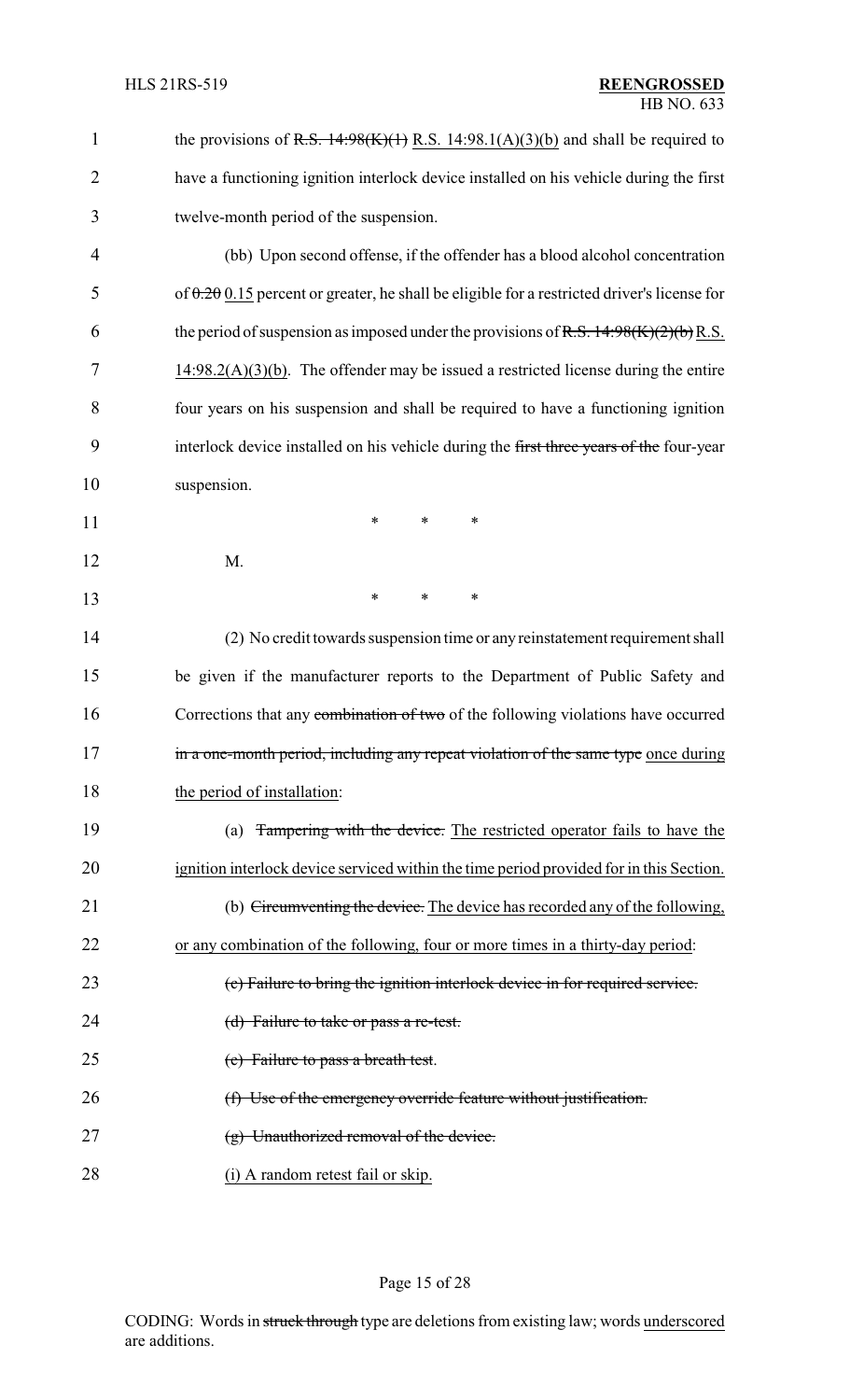| $\mathbf{1}$ | the provisions of R.S. $14:98(K)(1)$ R.S. $14:98.1(A)(3)(b)$ and shall be required to       |
|--------------|---------------------------------------------------------------------------------------------|
| 2            | have a functioning ignition interlock device installed on his vehicle during the first      |
| 3            | twelve-month period of the suspension.                                                      |
| 4            | (bb) Upon second offense, if the offender has a blood alcohol concentration                 |
| 5            | of $0.20015$ percent or greater, he shall be eligible for a restricted driver's license for |
| 6            | the period of suspension as imposed under the provisions of R.S. $14:98(K)(2)(b)$ R.S.      |
| 7            | $14:98.2(A)(3)(b)$ . The offender may be issued a restricted license during the entire      |
| 8            | four years on his suspension and shall be required to have a functioning ignition           |
| 9            | interlock device installed on his vehicle during the first three years of the four-year     |
| 10           | suspension.                                                                                 |
| 11           | *<br>$\ast$<br>∗                                                                            |
| 12           | M.                                                                                          |
| 13           | ∗<br>*<br>∗                                                                                 |
| 14           | (2) No credit towards suspension time or any reinstatement requirement shall                |
| 15           | be given if the manufacturer reports to the Department of Public Safety and                 |
| 16           | Corrections that any combination of two of the following violations have occurred           |
| 17           | in a one-month period, including any repeat violation of the same type once during          |
| 18           | the period of installation:                                                                 |
| 19           | Tampering with the device. The restricted operator fails to have the<br>(a)                 |
| 20           | ignition interlock device serviced within the time period provided for in this Section.     |
| 21           | (b) Circumventing the device. The device has recorded any of the following,                 |
| 22           | or any combination of the following, four or more times in a thirty-day period:             |
| 23           | (c) Failure to bring the ignition interlock device in for required service.                 |
| 24           | (d) Failure to take or pass a re-test.                                                      |
| 25           | (e) Failure to pass a breath test.                                                          |
| 26           | (f) Use of the emergency override feature without justification.                            |
| 27           | $(g)$ Unauthorized removal of the device.                                                   |
| 28           | (i) A random retest fail or skip.                                                           |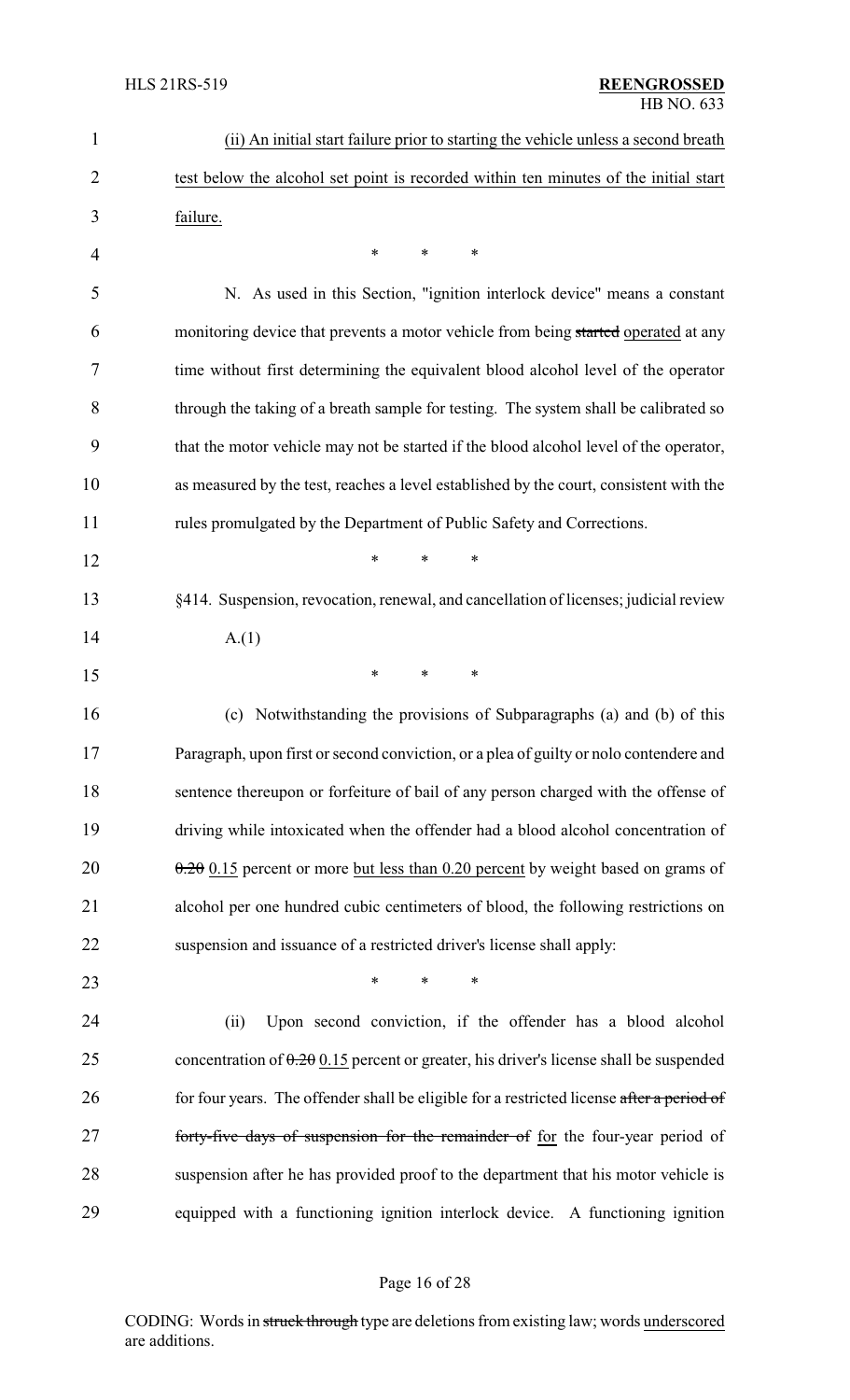| $\mathbf{1}$   | (ii) An initial start failure prior to starting the vehicle unless a second breath        |
|----------------|-------------------------------------------------------------------------------------------|
| 2              | test below the alcohol set point is recorded within ten minutes of the initial start      |
| 3              | failure.                                                                                  |
| $\overline{4}$ | $\ast$<br>∗<br>∗                                                                          |
| 5              | N. As used in this Section, "ignition interlock device" means a constant                  |
| 6              | monitoring device that prevents a motor vehicle from being started operated at any        |
| 7              | time without first determining the equivalent blood alcohol level of the operator         |
| 8              | through the taking of a breath sample for testing. The system shall be calibrated so      |
| 9              | that the motor vehicle may not be started if the blood alcohol level of the operator,     |
| 10             | as measured by the test, reaches a level established by the court, consistent with the    |
| 11             | rules promulgated by the Department of Public Safety and Corrections.                     |
| 12             | *<br>$\ast$<br>*                                                                          |
| 13             | §414. Suspension, revocation, renewal, and cancellation of licenses; judicial review      |
| 14             | A(1)                                                                                      |
| 15             | *<br>*<br>∗                                                                               |
| 16             | Notwithstanding the provisions of Subparagraphs (a) and (b) of this<br>(c)                |
| 17             | Paragraph, upon first or second conviction, or a plea of guilty or nolo contendere and    |
| 18             | sentence thereupon or forfeiture of bail of any person charged with the offense of        |
| 19             | driving while intoxicated when the offender had a blood alcohol concentration of          |
| 20             | $0.20$ 0.15 percent or more but less than 0.20 percent by weight based on grams of        |
| 21             | alcohol per one hundred cubic centimeters of blood, the following restrictions on         |
| 22             | suspension and issuance of a restricted driver's license shall apply:                     |
| 23             | $\ast$<br>∗<br>*                                                                          |
| 24             | Upon second conviction, if the offender has a blood alcohol<br>(ii)                       |
| 25             | concentration of $0.20015$ percent or greater, his driver's license shall be suspended    |
| 26             | for four years. The offender shall be eligible for a restricted license after a period of |
| 27             | forty-five days of suspension for the remainder of for the four-year period of            |
| 28             | suspension after he has provided proof to the department that his motor vehicle is        |
| 29             | equipped with a functioning ignition interlock device. A functioning ignition             |
|                |                                                                                           |

# Page 16 of 28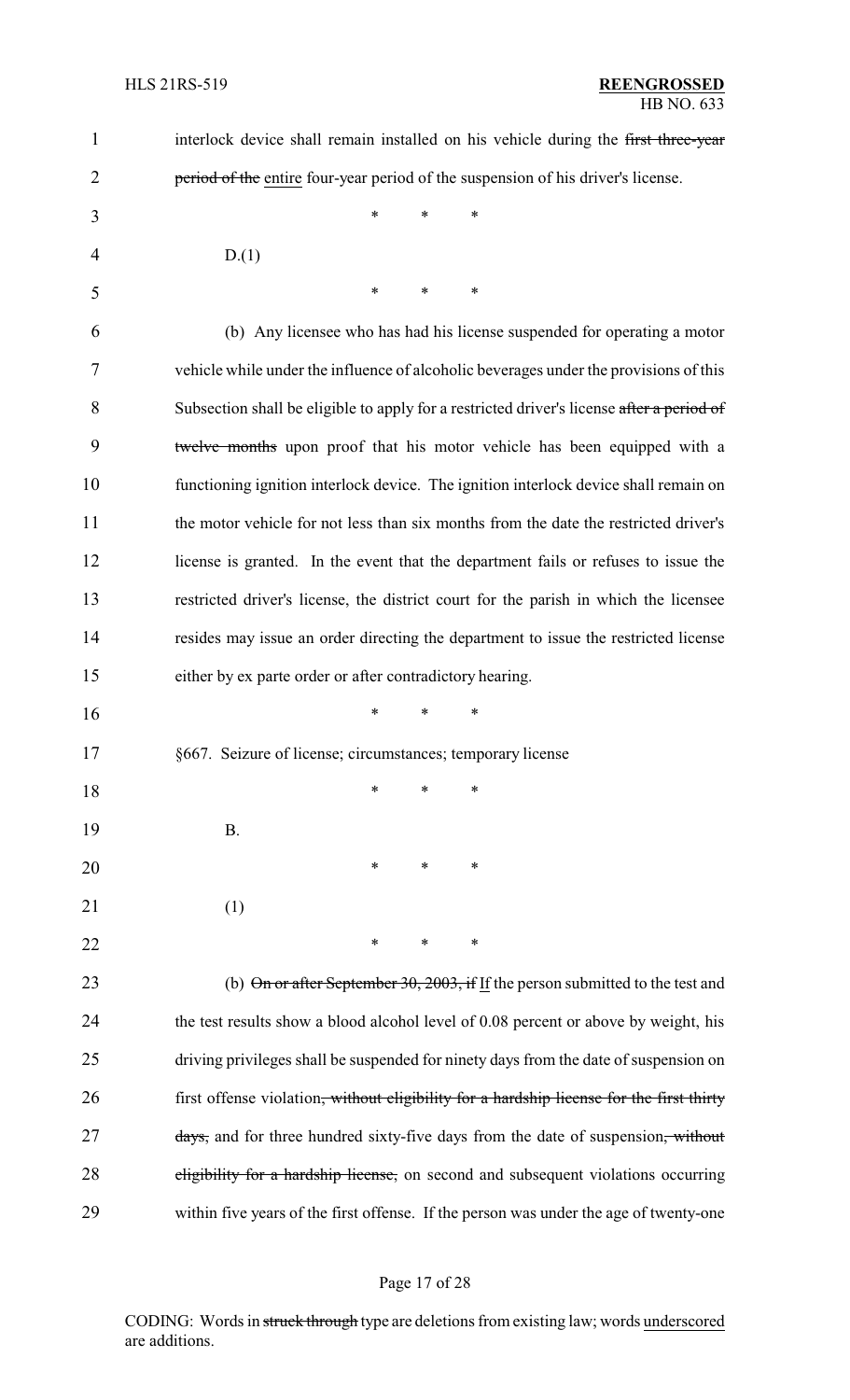| $\mathbf{1}$ | interlock device shall remain installed on his vehicle during the first three-year                   |  |  |
|--------------|------------------------------------------------------------------------------------------------------|--|--|
| 2            | period of the entire four-year period of the suspension of his driver's license.                     |  |  |
| 3            | $\ast$<br>$\ast$<br>*                                                                                |  |  |
| 4            | D(1)                                                                                                 |  |  |
| 5            | $\ast$<br>$\ast$<br>∗                                                                                |  |  |
| 6            | (b) Any licensee who has had his license suspended for operating a motor                             |  |  |
| 7            | vehicle while under the influence of alcoholic beverages under the provisions of this                |  |  |
| 8            | Subsection shall be eligible to apply for a restricted driver's license after a period of            |  |  |
| 9            | twelve months upon proof that his motor vehicle has been equipped with a                             |  |  |
| 10           | functioning ignition interlock device. The ignition interlock device shall remain on                 |  |  |
| 11           | the motor vehicle for not less than six months from the date the restricted driver's                 |  |  |
| 12           | license is granted. In the event that the department fails or refuses to issue the                   |  |  |
| 13           | restricted driver's license, the district court for the parish in which the licensee                 |  |  |
| 14           | resides may issue an order directing the department to issue the restricted license                  |  |  |
| 15           | either by ex parte order or after contradictory hearing.                                             |  |  |
| 16           | *<br>∗<br>∗                                                                                          |  |  |
| 17           | §667. Seizure of license; circumstances; temporary license                                           |  |  |
| 18           | ∗<br>∗<br>∗                                                                                          |  |  |
| 19           | <b>B.</b>                                                                                            |  |  |
| 20           | $\ast$<br>∗<br>∗                                                                                     |  |  |
| 21           | (1)                                                                                                  |  |  |
| 22           | *<br>∗<br>∗                                                                                          |  |  |
| 23           | (b) On or after September 30, 2003, if If the person submitted to the test and                       |  |  |
| 24           | the test results show a blood alcohol level of 0.08 percent or above by weight, his                  |  |  |
| 25           | driving privileges shall be suspended for ninety days from the date of suspension on                 |  |  |
| 26           | first offense violation <del>, without eligibility for a hardship license for the first thirty</del> |  |  |
| 27           | days, and for three hundred sixty-five days from the date of suspension, without                     |  |  |
| 28           | eligibility for a hardship license, on second and subsequent violations occurring                    |  |  |
| 29           | within five years of the first offense. If the person was under the age of twenty-one                |  |  |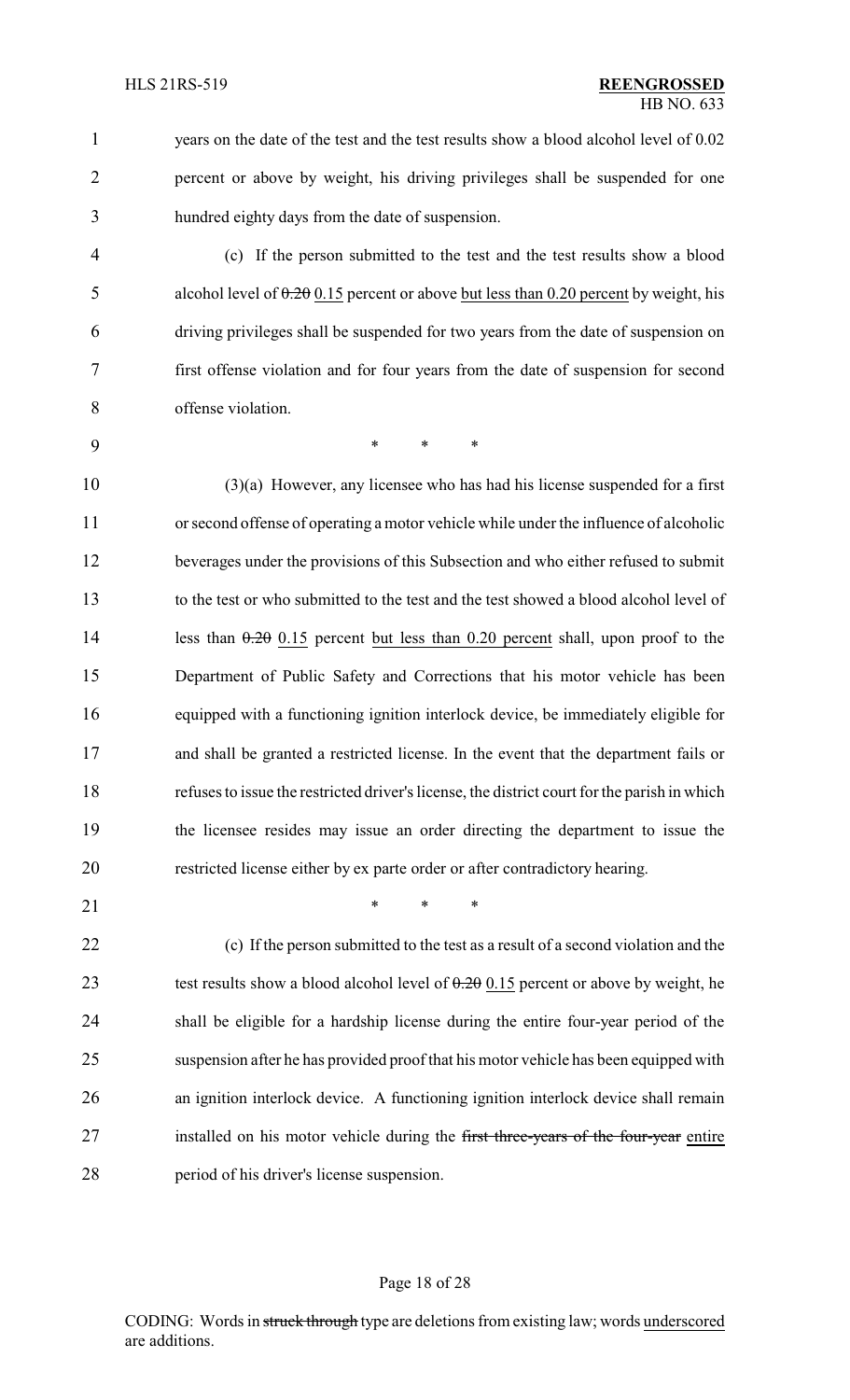years on the date of the test and the test results show a blood alcohol level of 0.02 percent or above by weight, his driving privileges shall be suspended for one hundred eighty days from the date of suspension.

 (c) If the person submitted to the test and the test results show a blood 5 alcohol level of  $\theta$ . 20 0.15 percent or above but less than 0.20 percent by weight, his driving privileges shall be suspended for two years from the date of suspension on first offense violation and for four years from the date of suspension for second offense violation.

\* \* \*

 (3)(a) However, any licensee who has had his license suspended for a first or second offense of operating a motor vehicle while under the influence of alcoholic beverages under the provisions of this Subsection and who either refused to submit to the test or who submitted to the test and the test showed a blood alcohol level of 14 less than  $\theta$ . 20 0.15 percent but less than 0.20 percent shall, upon proof to the Department of Public Safety and Corrections that his motor vehicle has been equipped with a functioning ignition interlock device, be immediately eligible for and shall be granted a restricted license. In the event that the department fails or refuses to issue the restricted driver's license, the district court for the parish in which the licensee resides may issue an order directing the department to issue the restricted license either by ex parte order or after contradictory hearing.

21 \* \* \* \*

 (c) If the person submitted to the test as a result of a second violation and the 23 test results show a blood alcohol level of  $0.20 \times 15$  percent or above by weight, he shall be eligible for a hardship license during the entire four-year period of the suspension after he has provided proof that his motor vehicle has been equipped with an ignition interlock device. A functioning ignition interlock device shall remain 27 installed on his motor vehicle during the first three-years of the four-year entire period of his driver's license suspension.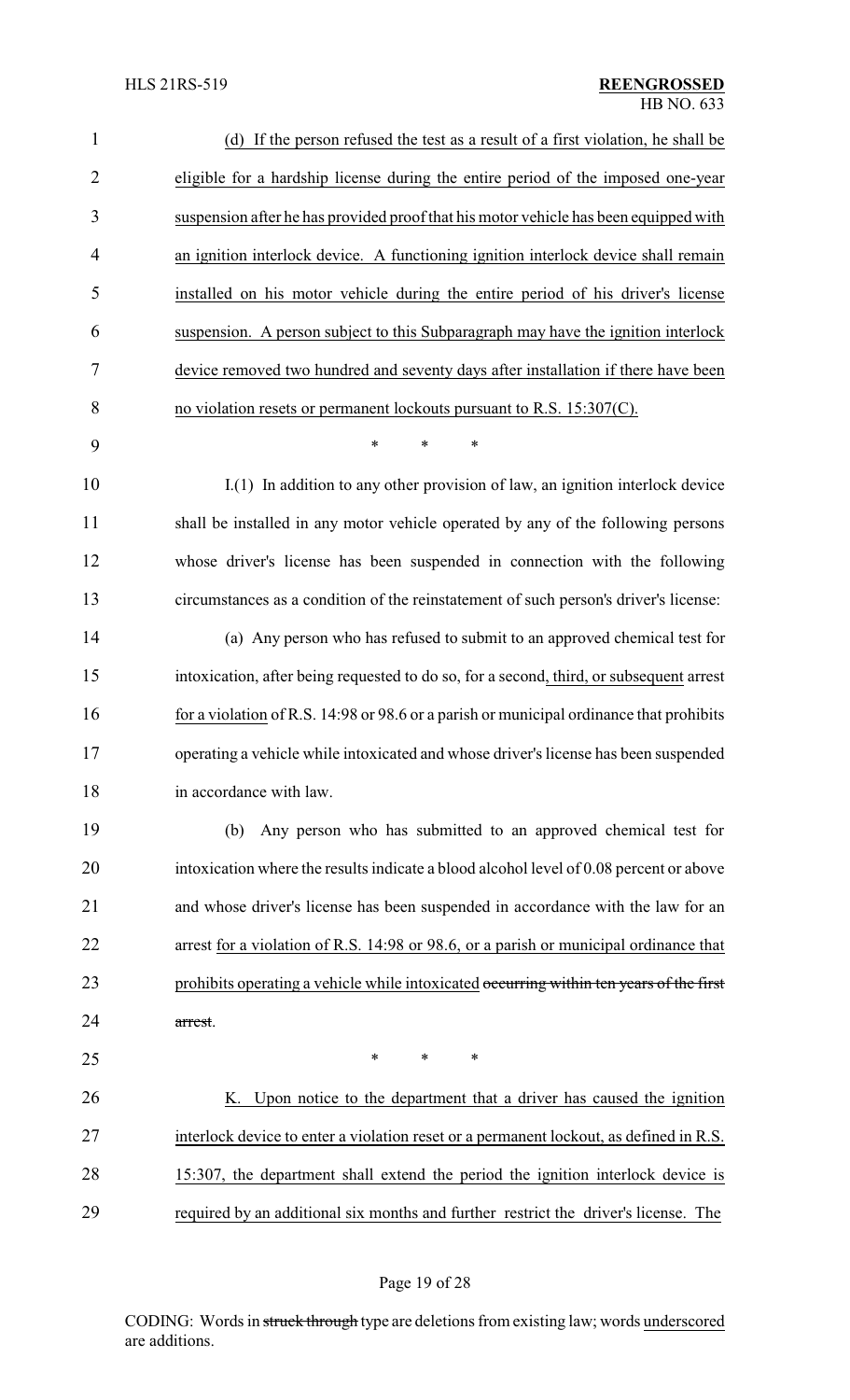| $\mathbf{1}$   | (d) If the person refused the test as a result of a first violation, he shall be        |
|----------------|-----------------------------------------------------------------------------------------|
| $\overline{2}$ | eligible for a hardship license during the entire period of the imposed one-year        |
| 3              | suspension after he has provided proof that his motor vehicle has been equipped with    |
| $\overline{4}$ | an ignition interlock device. A functioning ignition interlock device shall remain      |
| 5              | installed on his motor vehicle during the entire period of his driver's license         |
| 6              | suspension. A person subject to this Subparagraph may have the ignition interlock       |
| 7              | device removed two hundred and seventy days after installation if there have been       |
| 8              | no violation resets or permanent lockouts pursuant to R.S. 15:307(C).                   |
| 9              | ∗<br>*<br>∗                                                                             |
| 10             | I.(1) In addition to any other provision of law, an ignition interlock device           |
| 11             | shall be installed in any motor vehicle operated by any of the following persons        |
| 12             | whose driver's license has been suspended in connection with the following              |
| 13             | circumstances as a condition of the reinstatement of such person's driver's license:    |
| 14             | (a) Any person who has refused to submit to an approved chemical test for               |
| 15             | intoxication, after being requested to do so, for a second, third, or subsequent arrest |
| 16             | for a violation of R.S. 14:98 or 98.6 or a parish or municipal ordinance that prohibits |
| 17             | operating a vehicle while intoxicated and whose driver's license has been suspended     |
| 18             | in accordance with law.                                                                 |
| 19             | Any person who has submitted to an approved chemical test for<br>(b)                    |
| 20             | intoxication where the results indicate a blood alcohol level of 0.08 percent or above  |
| 21             | and whose driver's license has been suspended in accordance with the law for an         |
| 22             | arrest for a violation of R.S. 14:98 or 98.6, or a parish or municipal ordinance that   |
| 23             | prohibits operating a vehicle while intoxicated occurring within ten years of the first |
| 24             | arrest.                                                                                 |
| 25             | ∗<br>*<br>∗                                                                             |
| 26             | K. Upon notice to the department that a driver has caused the ignition                  |
| 27             | interlock device to enter a violation reset or a permanent lockout, as defined in R.S.  |
| 28             | 15:307, the department shall extend the period the ignition interlock device is         |
| 29             | required by an additional six months and further restrict the driver's license. The     |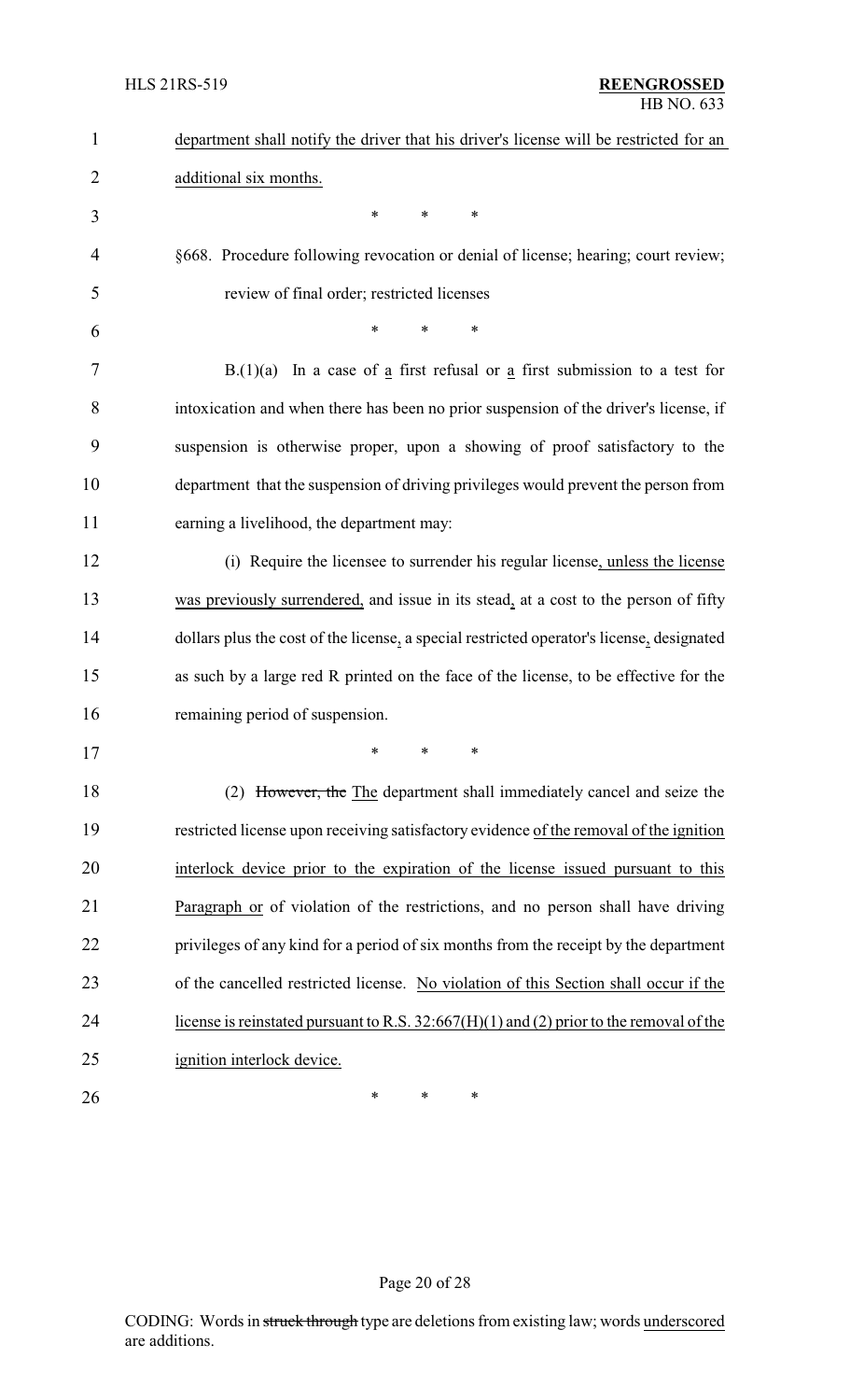| $\mathbf{1}$   | department shall notify the driver that his driver's license will be restricted for an    |
|----------------|-------------------------------------------------------------------------------------------|
| 2              | additional six months.                                                                    |
| 3              | $\ast$<br>$\ast$<br>$\ast$                                                                |
| $\overline{4}$ | §668. Procedure following revocation or denial of license; hearing; court review;         |
| 5              | review of final order; restricted licenses                                                |
| 6              | *<br>*<br>∗                                                                               |
| 7              | $B(1)(a)$ In a case of a first refusal or a first submission to a test for                |
| 8              | intoxication and when there has been no prior suspension of the driver's license, if      |
| 9              | suspension is otherwise proper, upon a showing of proof satisfactory to the               |
| 10             | department that the suspension of driving privileges would prevent the person from        |
| 11             | earning a livelihood, the department may:                                                 |
| 12             | (i) Require the licensee to surrender his regular license, unless the license             |
| 13             | was previously surrendered, and issue in its stead, at a cost to the person of fifty      |
| 14             | dollars plus the cost of the license, a special restricted operator's license, designated |
| 15             | as such by a large red R printed on the face of the license, to be effective for the      |
| 16             | remaining period of suspension.                                                           |
| 17             | $\ast$ $\ast$                                                                             |
| 18             | (2) However, the The department shall immediately cancel and seize the                    |
| 19             | restricted license upon receiving satisfactory evidence of the removal of the ignition    |
| 20             | interlock device prior to the expiration of the license issued pursuant to this           |
| 21             | Paragraph or of violation of the restrictions, and no person shall have driving           |
| 22             | privileges of any kind for a period of six months from the receipt by the department      |
| 23             | of the cancelled restricted license. No violation of this Section shall occur if the      |
| 24             | license is reinstated pursuant to R.S. $32:667(H)(1)$ and (2) prior to the removal of the |
| 25             | ignition interlock device.                                                                |
| 26             | ∗<br>*<br>∗                                                                               |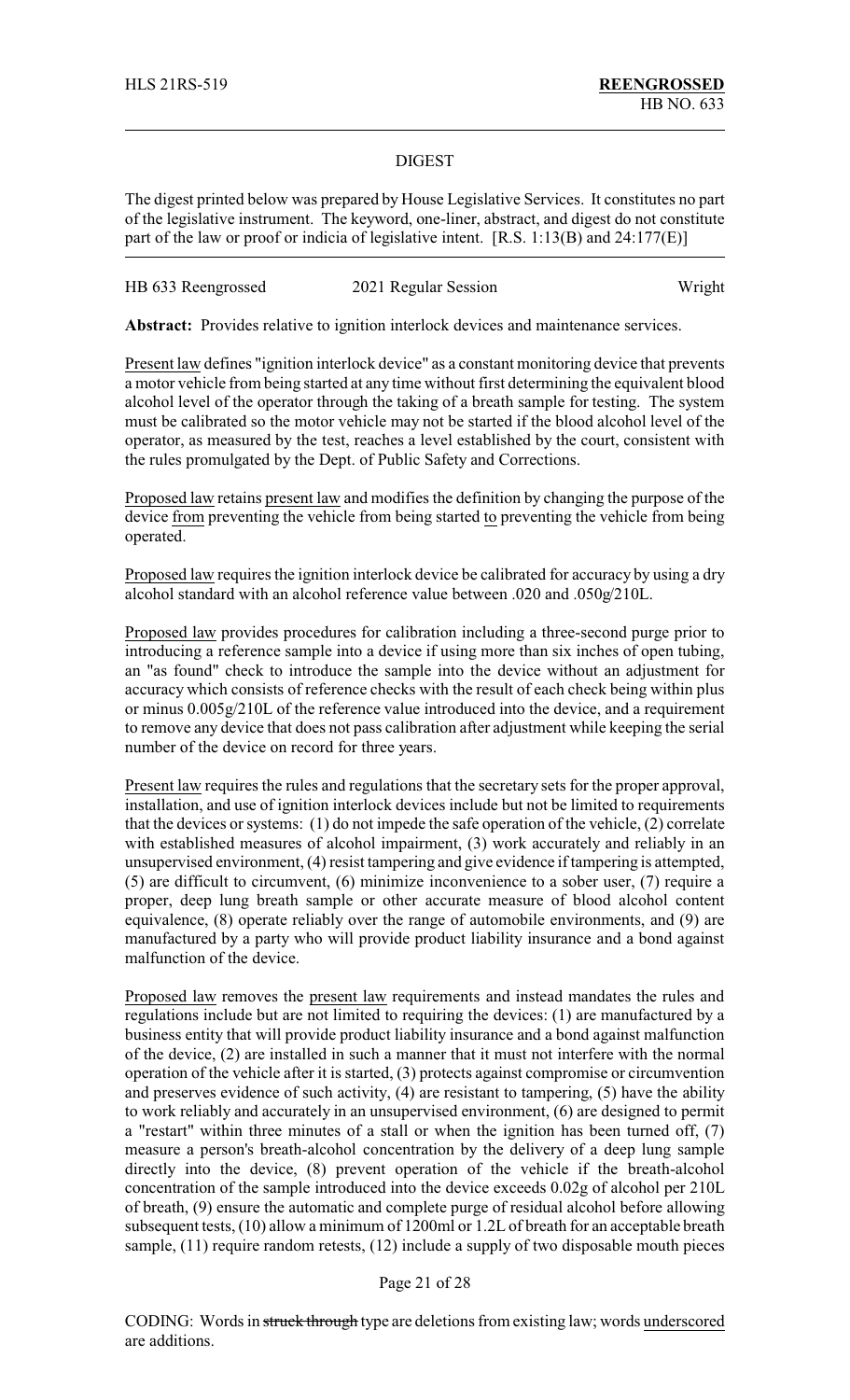#### DIGEST

The digest printed below was prepared by House Legislative Services. It constitutes no part of the legislative instrument. The keyword, one-liner, abstract, and digest do not constitute part of the law or proof or indicia of legislative intent. [R.S. 1:13(B) and 24:177(E)]

| HB 633 Reengrossed | 2021 Regular Session | Wright |
|--------------------|----------------------|--------|
|--------------------|----------------------|--------|

**Abstract:** Provides relative to ignition interlock devices and maintenance services.

Present law defines "ignition interlock device" as a constant monitoring device that prevents a motor vehicle from being started at any time without first determining the equivalent blood alcohol level of the operator through the taking of a breath sample for testing. The system must be calibrated so the motor vehicle may not be started if the blood alcohol level of the operator, as measured by the test, reaches a level established by the court, consistent with the rules promulgated by the Dept. of Public Safety and Corrections.

Proposed law retains present law and modifies the definition by changing the purpose of the device from preventing the vehicle from being started to preventing the vehicle from being operated.

Proposed law requires the ignition interlock device be calibrated for accuracy by using a dry alcohol standard with an alcohol reference value between .020 and .050g/210L.

Proposed law provides procedures for calibration including a three-second purge prior to introducing a reference sample into a device if using more than six inches of open tubing, an "as found" check to introduce the sample into the device without an adjustment for accuracy which consists of reference checks with the result of each check being within plus or minus 0.005g/210L of the reference value introduced into the device, and a requirement to remove any device that does not pass calibration after adjustment while keeping the serial number of the device on record for three years.

Present law requires the rules and regulations that the secretary sets for the proper approval, installation, and use of ignition interlock devices include but not be limited to requirements that the devices or systems: (1) do not impede the safe operation of the vehicle,  $(2)$  correlate with established measures of alcohol impairment, (3) work accurately and reliably in an unsupervised environment, (4) resist tampering and give evidence if tampering is attempted, (5) are difficult to circumvent, (6) minimize inconvenience to a sober user, (7) require a proper, deep lung breath sample or other accurate measure of blood alcohol content equivalence, (8) operate reliably over the range of automobile environments, and (9) are manufactured by a party who will provide product liability insurance and a bond against malfunction of the device.

Proposed law removes the present law requirements and instead mandates the rules and regulations include but are not limited to requiring the devices: (1) are manufactured by a business entity that will provide product liability insurance and a bond against malfunction of the device, (2) are installed in such a manner that it must not interfere with the normal operation of the vehicle after it is started, (3) protects against compromise or circumvention and preserves evidence of such activity, (4) are resistant to tampering, (5) have the ability to work reliably and accurately in an unsupervised environment, (6) are designed to permit a "restart" within three minutes of a stall or when the ignition has been turned off, (7) measure a person's breath-alcohol concentration by the delivery of a deep lung sample directly into the device, (8) prevent operation of the vehicle if the breath-alcohol concentration of the sample introduced into the device exceeds 0.02g of alcohol per 210L of breath, (9) ensure the automatic and complete purge of residual alcohol before allowing subsequent tests, (10) allow a minimum of 1200ml or 1.2L of breath for an acceptable breath sample, (11) require random retests, (12) include a supply of two disposable mouth pieces

Page 21 of 28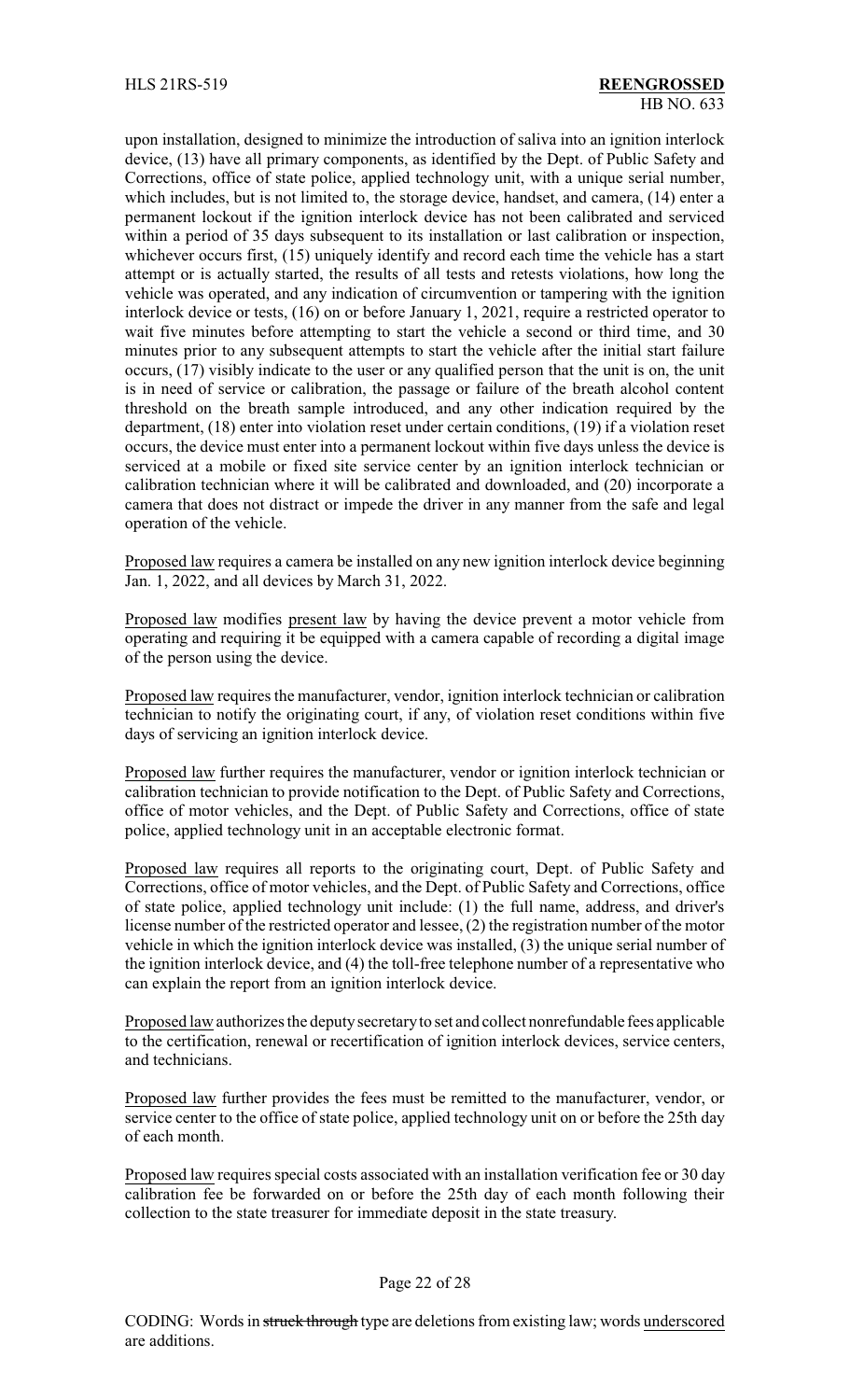upon installation, designed to minimize the introduction of saliva into an ignition interlock device, (13) have all primary components, as identified by the Dept. of Public Safety and Corrections, office of state police, applied technology unit, with a unique serial number, which includes, but is not limited to, the storage device, handset, and camera, (14) enter a permanent lockout if the ignition interlock device has not been calibrated and serviced within a period of 35 days subsequent to its installation or last calibration or inspection, whichever occurs first, (15) uniquely identify and record each time the vehicle has a start attempt or is actually started, the results of all tests and retests violations, how long the vehicle was operated, and any indication of circumvention or tampering with the ignition interlock device or tests, (16) on or before January 1, 2021, require a restricted operator to wait five minutes before attempting to start the vehicle a second or third time, and 30 minutes prior to any subsequent attempts to start the vehicle after the initial start failure occurs, (17) visibly indicate to the user or any qualified person that the unit is on, the unit is in need of service or calibration, the passage or failure of the breath alcohol content threshold on the breath sample introduced, and any other indication required by the department, (18) enter into violation reset under certain conditions, (19) if a violation reset occurs, the device must enter into a permanent lockout within five days unless the device is serviced at a mobile or fixed site service center by an ignition interlock technician or calibration technician where it will be calibrated and downloaded, and (20) incorporate a camera that does not distract or impede the driver in any manner from the safe and legal operation of the vehicle.

Proposed law requires a camera be installed on any new ignition interlock device beginning Jan. 1, 2022, and all devices by March 31, 2022.

Proposed law modifies present law by having the device prevent a motor vehicle from operating and requiring it be equipped with a camera capable of recording a digital image of the person using the device.

Proposed law requires the manufacturer, vendor, ignition interlock technician or calibration technician to notify the originating court, if any, of violation reset conditions within five days of servicing an ignition interlock device.

Proposed law further requires the manufacturer, vendor or ignition interlock technician or calibration technician to provide notification to the Dept. of Public Safety and Corrections, office of motor vehicles, and the Dept. of Public Safety and Corrections, office of state police, applied technology unit in an acceptable electronic format.

Proposed law requires all reports to the originating court, Dept. of Public Safety and Corrections, office of motor vehicles, and the Dept. of Public Safety and Corrections, office of state police, applied technology unit include: (1) the full name, address, and driver's license number of the restricted operator and lessee, (2) the registration number of the motor vehicle in which the ignition interlock device was installed, (3) the unique serial number of the ignition interlock device, and (4) the toll-free telephone number of a representative who can explain the report from an ignition interlock device.

Proposed law authorizes the deputy secretary to set and collect nonrefundable fees applicable to the certification, renewal or recertification of ignition interlock devices, service centers, and technicians.

Proposed law further provides the fees must be remitted to the manufacturer, vendor, or service center to the office of state police, applied technology unit on or before the 25th day of each month.

Proposed law requires special costs associated with an installation verification fee or 30 day calibration fee be forwarded on or before the 25th day of each month following their collection to the state treasurer for immediate deposit in the state treasury.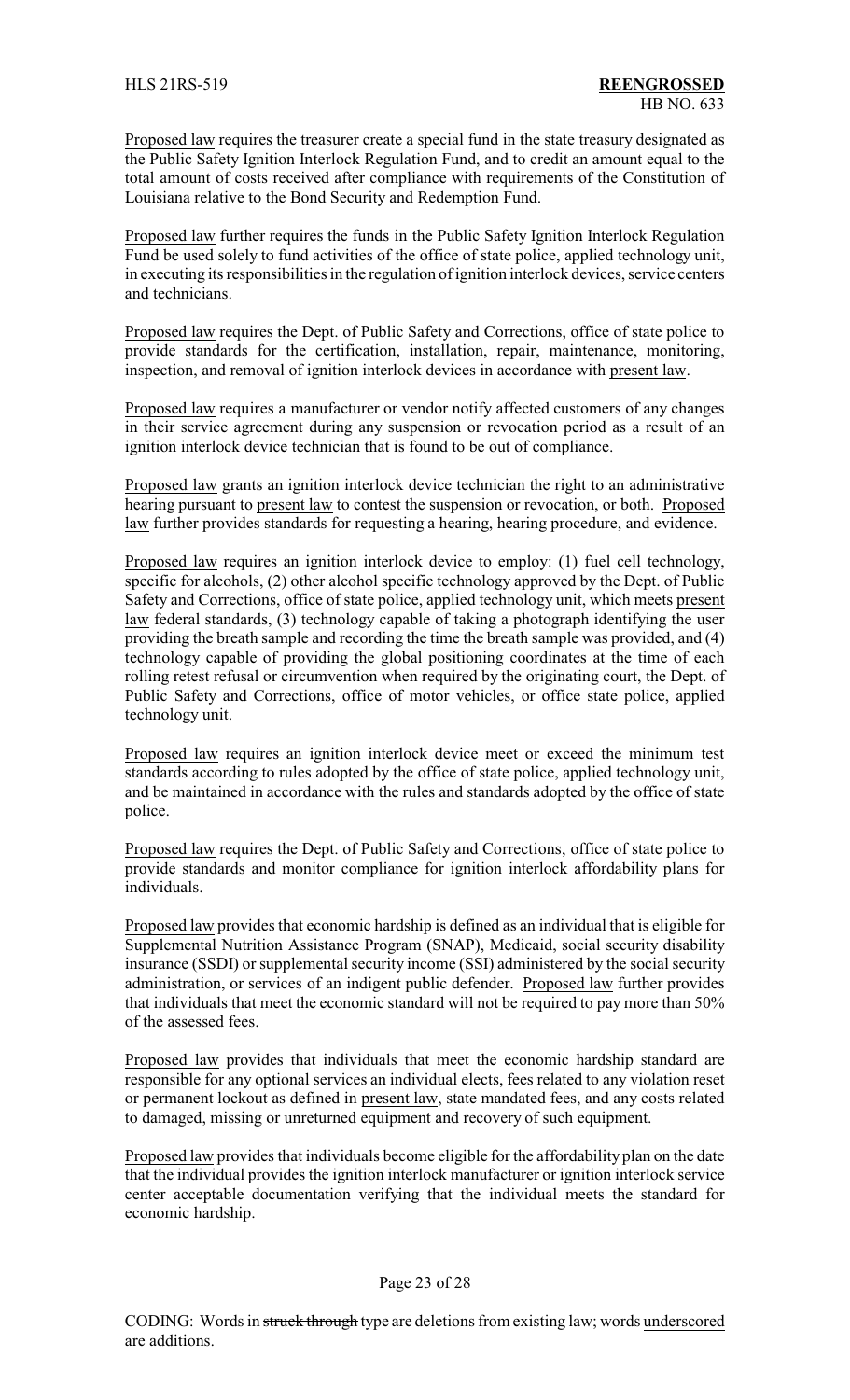Proposed law requires the treasurer create a special fund in the state treasury designated as the Public Safety Ignition Interlock Regulation Fund, and to credit an amount equal to the total amount of costs received after compliance with requirements of the Constitution of Louisiana relative to the Bond Security and Redemption Fund.

Proposed law further requires the funds in the Public Safety Ignition Interlock Regulation Fund be used solely to fund activities of the office of state police, applied technology unit, in executing its responsibilities in the regulation of ignition interlock devices, service centers and technicians.

Proposed law requires the Dept. of Public Safety and Corrections, office of state police to provide standards for the certification, installation, repair, maintenance, monitoring, inspection, and removal of ignition interlock devices in accordance with present law.

Proposed law requires a manufacturer or vendor notify affected customers of any changes in their service agreement during any suspension or revocation period as a result of an ignition interlock device technician that is found to be out of compliance.

Proposed law grants an ignition interlock device technician the right to an administrative hearing pursuant to present law to contest the suspension or revocation, or both. Proposed law further provides standards for requesting a hearing, hearing procedure, and evidence.

Proposed law requires an ignition interlock device to employ: (1) fuel cell technology, specific for alcohols, (2) other alcohol specific technology approved by the Dept. of Public Safety and Corrections, office of state police, applied technology unit, which meets present law federal standards, (3) technology capable of taking a photograph identifying the user providing the breath sample and recording the time the breath sample was provided, and (4) technology capable of providing the global positioning coordinates at the time of each rolling retest refusal or circumvention when required by the originating court, the Dept. of Public Safety and Corrections, office of motor vehicles, or office state police, applied technology unit.

Proposed law requires an ignition interlock device meet or exceed the minimum test standards according to rules adopted by the office of state police, applied technology unit, and be maintained in accordance with the rules and standards adopted by the office of state police.

Proposed law requires the Dept. of Public Safety and Corrections, office of state police to provide standards and monitor compliance for ignition interlock affordability plans for individuals.

Proposed law provides that economic hardship is defined as an individual that is eligible for Supplemental Nutrition Assistance Program (SNAP), Medicaid, social security disability insurance (SSDI) or supplemental security income (SSI) administered by the social security administration, or services of an indigent public defender. Proposed law further provides that individuals that meet the economic standard will not be required to pay more than 50% of the assessed fees.

Proposed law provides that individuals that meet the economic hardship standard are responsible for any optional services an individual elects, fees related to any violation reset or permanent lockout as defined in present law, state mandated fees, and any costs related to damaged, missing or unreturned equipment and recovery of such equipment.

Proposed law provides that individuals become eligible for the affordability plan on the date that the individual provides the ignition interlock manufacturer or ignition interlock service center acceptable documentation verifying that the individual meets the standard for economic hardship.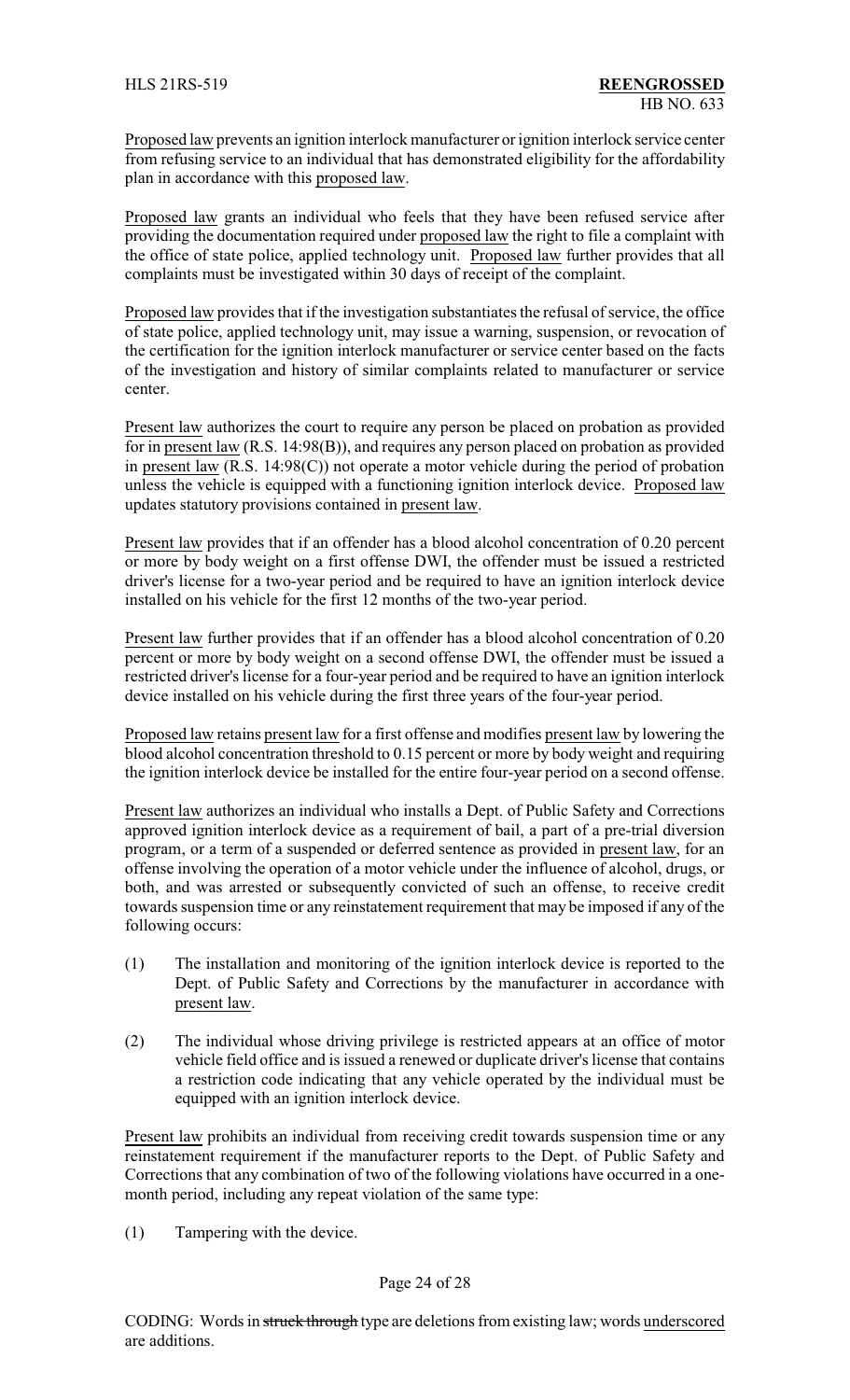Proposed law prevents an ignition interlock manufacturer or ignition interlock service center from refusing service to an individual that has demonstrated eligibility for the affordability plan in accordance with this proposed law.

Proposed law grants an individual who feels that they have been refused service after providing the documentation required under proposed law the right to file a complaint with the office of state police, applied technology unit. Proposed law further provides that all complaints must be investigated within 30 days of receipt of the complaint.

Proposed law provides that if the investigation substantiates the refusal of service, the office of state police, applied technology unit, may issue a warning, suspension, or revocation of the certification for the ignition interlock manufacturer or service center based on the facts of the investigation and history of similar complaints related to manufacturer or service center.

Present law authorizes the court to require any person be placed on probation as provided for in present law (R.S. 14:98(B)), and requires any person placed on probation as provided in present law (R.S. 14:98(C)) not operate a motor vehicle during the period of probation unless the vehicle is equipped with a functioning ignition interlock device. Proposed law updates statutory provisions contained in present law.

Present law provides that if an offender has a blood alcohol concentration of 0.20 percent or more by body weight on a first offense DWI, the offender must be issued a restricted driver's license for a two-year period and be required to have an ignition interlock device installed on his vehicle for the first 12 months of the two-year period.

Present law further provides that if an offender has a blood alcohol concentration of 0.20 percent or more by body weight on a second offense DWI, the offender must be issued a restricted driver's license for a four-year period and be required to have an ignition interlock device installed on his vehicle during the first three years of the four-year period.

Proposed law retains present law for a first offense and modifies present law by lowering the blood alcohol concentration threshold to 0.15 percent or more by body weight and requiring the ignition interlock device be installed for the entire four-year period on a second offense.

Present law authorizes an individual who installs a Dept. of Public Safety and Corrections approved ignition interlock device as a requirement of bail, a part of a pre-trial diversion program, or a term of a suspended or deferred sentence as provided in present law, for an offense involving the operation of a motor vehicle under the influence of alcohol, drugs, or both, and was arrested or subsequently convicted of such an offense, to receive credit towards suspension time or any reinstatement requirement that may be imposed if any of the following occurs:

- (1) The installation and monitoring of the ignition interlock device is reported to the Dept. of Public Safety and Corrections by the manufacturer in accordance with present law.
- (2) The individual whose driving privilege is restricted appears at an office of motor vehicle field office and is issued a renewed or duplicate driver's license that contains a restriction code indicating that any vehicle operated by the individual must be equipped with an ignition interlock device.

Present law prohibits an individual from receiving credit towards suspension time or any reinstatement requirement if the manufacturer reports to the Dept. of Public Safety and Corrections that any combination of two of the following violations have occurred in a onemonth period, including any repeat violation of the same type:

(1) Tampering with the device.

### Page 24 of 28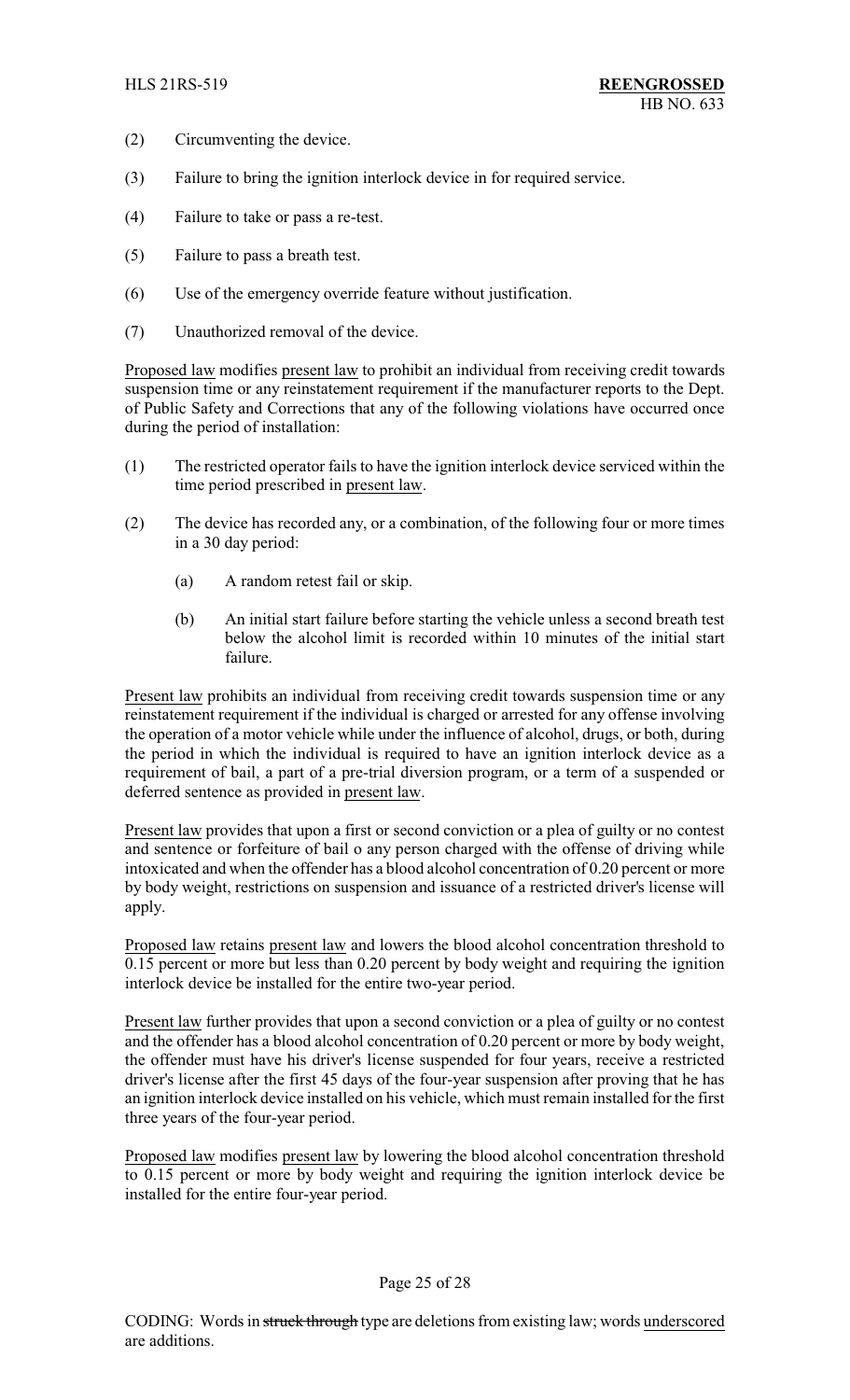- (2) Circumventing the device.
- (3) Failure to bring the ignition interlock device in for required service.
- (4) Failure to take or pass a re-test.
- (5) Failure to pass a breath test.
- (6) Use of the emergency override feature without justification.
- (7) Unauthorized removal of the device.

Proposed law modifies present law to prohibit an individual from receiving credit towards suspension time or any reinstatement requirement if the manufacturer reports to the Dept. of Public Safety and Corrections that any of the following violations have occurred once during the period of installation:

- (1) The restricted operator fails to have the ignition interlock device serviced within the time period prescribed in present law.
- (2) The device has recorded any, or a combination, of the following four or more times in a 30 day period:
	- (a) A random retest fail or skip.
	- (b) An initial start failure before starting the vehicle unless a second breath test below the alcohol limit is recorded within 10 minutes of the initial start failure.

Present law prohibits an individual from receiving credit towards suspension time or any reinstatement requirement if the individual is charged or arrested for any offense involving the operation of a motor vehicle while under the influence of alcohol, drugs, or both, during the period in which the individual is required to have an ignition interlock device as a requirement of bail, a part of a pre-trial diversion program, or a term of a suspended or deferred sentence as provided in present law.

Present law provides that upon a first or second conviction or a plea of guilty or no contest and sentence or forfeiture of bail o any person charged with the offense of driving while intoxicated and when the offender has a blood alcohol concentration of 0.20 percent or more by body weight, restrictions on suspension and issuance of a restricted driver's license will apply.

Proposed law retains present law and lowers the blood alcohol concentration threshold to 0.15 percent or more but less than 0.20 percent by body weight and requiring the ignition interlock device be installed for the entire two-year period.

Present law further provides that upon a second conviction or a plea of guilty or no contest and the offender has a blood alcohol concentration of 0.20 percent or more by body weight, the offender must have his driver's license suspended for four years, receive a restricted driver's license after the first 45 days of the four-year suspension after proving that he has an ignition interlock device installed on his vehicle, which must remain installed for the first three years of the four-year period.

Proposed law modifies present law by lowering the blood alcohol concentration threshold to 0.15 percent or more by body weight and requiring the ignition interlock device be installed for the entire four-year period.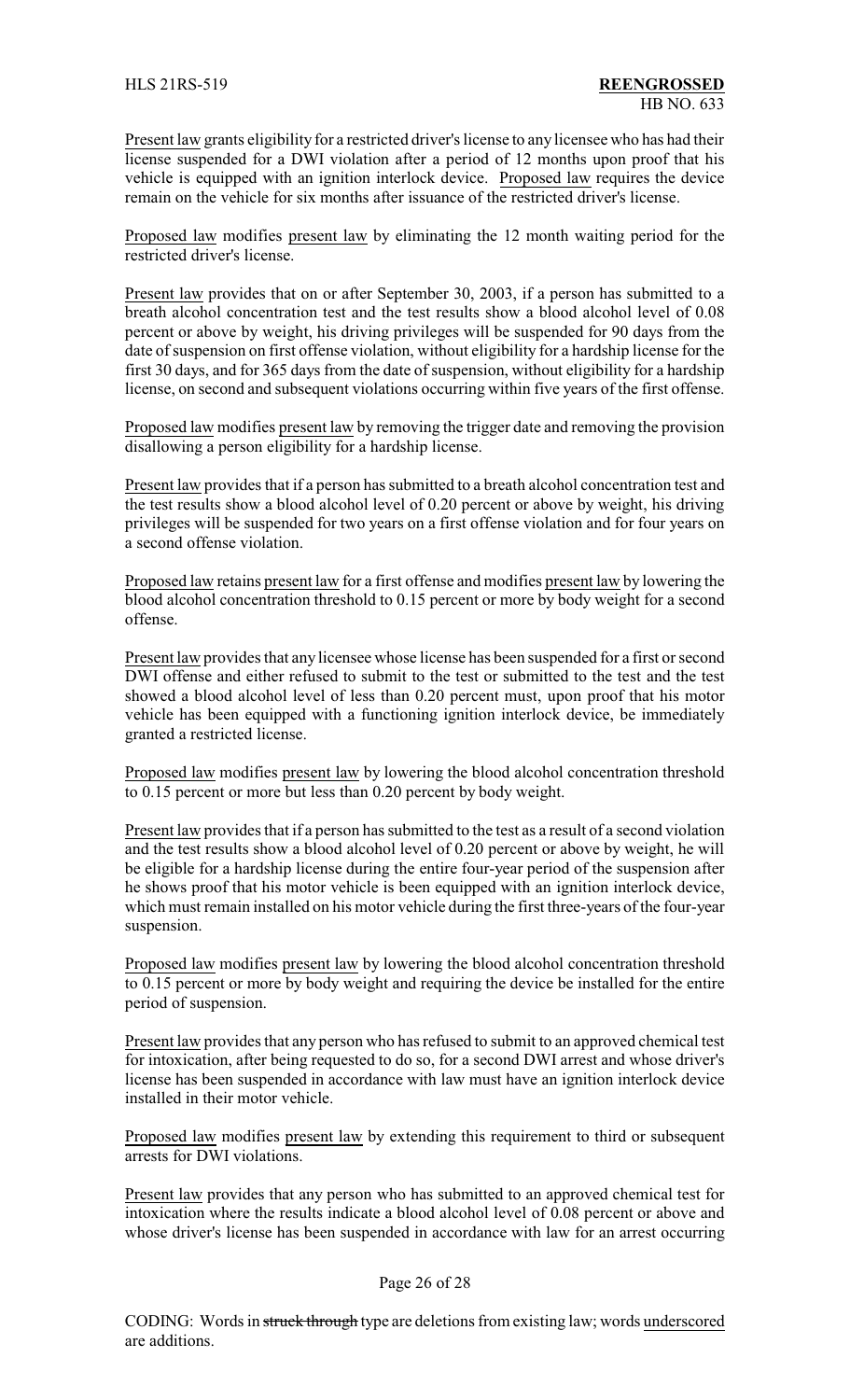Present law grants eligibility for a restricted driver's license to any licensee who has had their license suspended for a DWI violation after a period of 12 months upon proof that his vehicle is equipped with an ignition interlock device. Proposed law requires the device remain on the vehicle for six months after issuance of the restricted driver's license.

Proposed law modifies present law by eliminating the 12 month waiting period for the restricted driver's license.

Present law provides that on or after September 30, 2003, if a person has submitted to a breath alcohol concentration test and the test results show a blood alcohol level of 0.08 percent or above by weight, his driving privileges will be suspended for 90 days from the date of suspension on first offense violation, without eligibility for a hardship license for the first 30 days, and for 365 days from the date of suspension, without eligibility for a hardship license, on second and subsequent violations occurring within five years of the first offense.

Proposed law modifies present law by removing the trigger date and removing the provision disallowing a person eligibility for a hardship license.

Present law provides that if a person has submitted to a breath alcohol concentration test and the test results show a blood alcohol level of 0.20 percent or above by weight, his driving privileges will be suspended for two years on a first offense violation and for four years on a second offense violation.

Proposed law retains present law for a first offense and modifies present law by lowering the blood alcohol concentration threshold to 0.15 percent or more by body weight for a second offense.

Present law provides that any licensee whose license has been suspended for a first or second DWI offense and either refused to submit to the test or submitted to the test and the test showed a blood alcohol level of less than 0.20 percent must, upon proof that his motor vehicle has been equipped with a functioning ignition interlock device, be immediately granted a restricted license.

Proposed law modifies present law by lowering the blood alcohol concentration threshold to 0.15 percent or more but less than 0.20 percent by body weight.

Present law provides that if a person has submitted to the test as a result of a second violation and the test results show a blood alcohol level of 0.20 percent or above by weight, he will be eligible for a hardship license during the entire four-year period of the suspension after he shows proof that his motor vehicle is been equipped with an ignition interlock device, which must remain installed on his motor vehicle during the first three-years of the four-year suspension.

Proposed law modifies present law by lowering the blood alcohol concentration threshold to 0.15 percent or more by body weight and requiring the device be installed for the entire period of suspension.

Present law provides that any person who has refused to submit to an approved chemical test for intoxication, after being requested to do so, for a second DWI arrest and whose driver's license has been suspended in accordance with law must have an ignition interlock device installed in their motor vehicle.

Proposed law modifies present law by extending this requirement to third or subsequent arrests for DWI violations.

Present law provides that any person who has submitted to an approved chemical test for intoxication where the results indicate a blood alcohol level of 0.08 percent or above and whose driver's license has been suspended in accordance with law for an arrest occurring

#### Page 26 of 28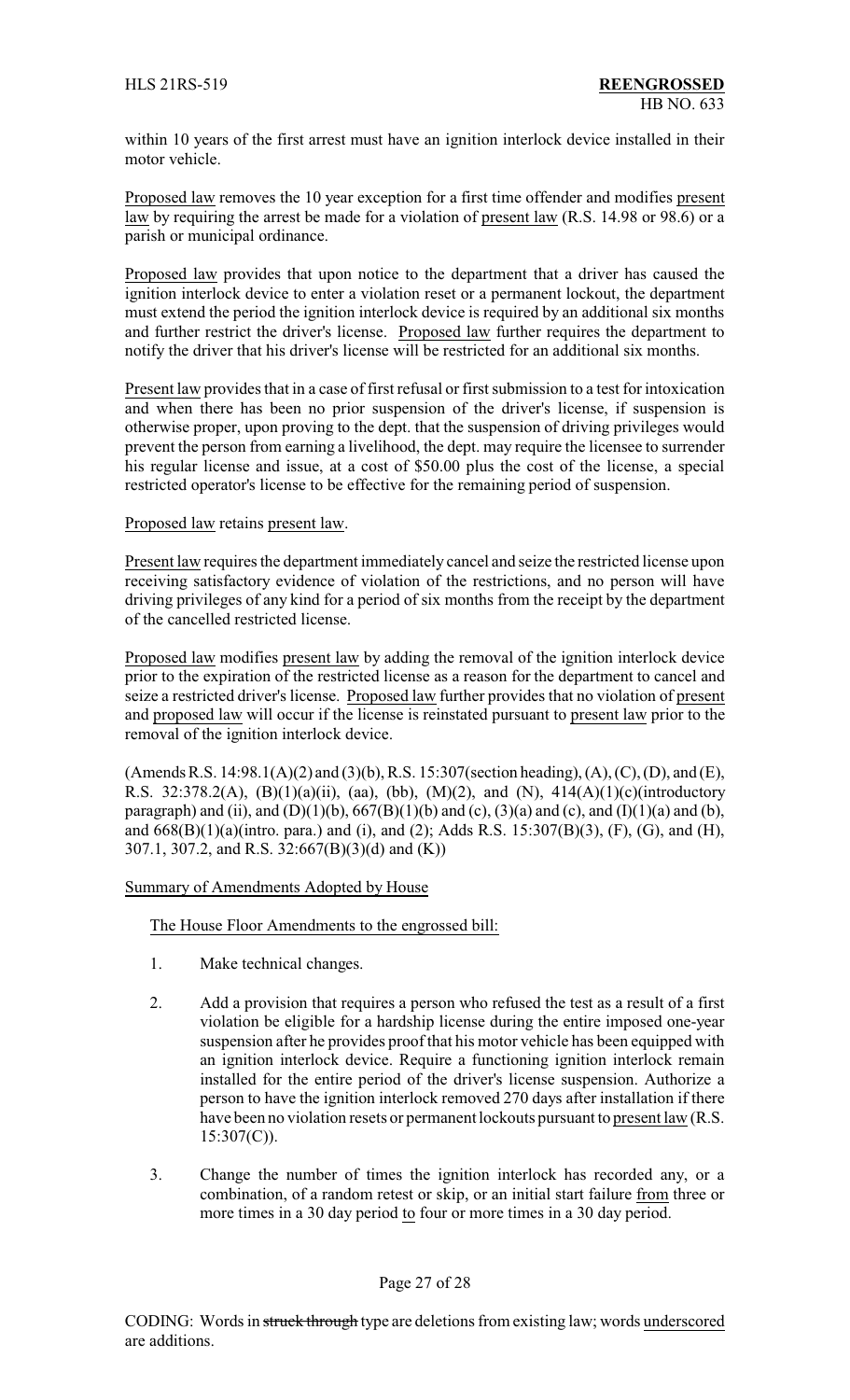within 10 years of the first arrest must have an ignition interlock device installed in their motor vehicle.

Proposed law removes the 10 year exception for a first time offender and modifies present law by requiring the arrest be made for a violation of present law (R.S. 14.98 or 98.6) or a parish or municipal ordinance.

Proposed law provides that upon notice to the department that a driver has caused the ignition interlock device to enter a violation reset or a permanent lockout, the department must extend the period the ignition interlock device is required by an additional six months and further restrict the driver's license. Proposed law further requires the department to notify the driver that his driver's license will be restricted for an additional six months.

Present law provides that in a case of first refusal or first submission to a test for intoxication and when there has been no prior suspension of the driver's license, if suspension is otherwise proper, upon proving to the dept. that the suspension of driving privileges would prevent the person from earning a livelihood, the dept. may require the licensee to surrender his regular license and issue, at a cost of \$50.00 plus the cost of the license, a special restricted operator's license to be effective for the remaining period of suspension.

#### Proposed law retains present law.

Present law requires the department immediately cancel and seize the restricted license upon receiving satisfactory evidence of violation of the restrictions, and no person will have driving privileges of any kind for a period of six months from the receipt by the department of the cancelled restricted license.

Proposed law modifies present law by adding the removal of the ignition interlock device prior to the expiration of the restricted license as a reason for the department to cancel and seize a restricted driver's license. Proposed law further provides that no violation of present and proposed law will occur if the license is reinstated pursuant to present law prior to the removal of the ignition interlock device.

(Amends R.S. 14:98.1(A)(2) and (3)(b), R.S. 15:307(section heading), (A), (C), (D), and (E), R.S. 32:378.2(A), (B)(1)(a)(ii), (aa), (bb), (M)(2), and (N), 414(A)(1)(c)(introductory paragraph) and (ii), and (D)(1)(b),  $667(B)(1)(b)$  and (c),  $(3)(a)$  and (c), and (I)(1)(a) and (b), and 668(B)(1)(a)(intro. para.) and (i), and (2); Adds R.S. 15:307(B)(3), (F), (G), and (H), 307.1, 307.2, and R.S. 32:667(B)(3)(d) and (K))

### Summary of Amendments Adopted by House

The House Floor Amendments to the engrossed bill:

- 1. Make technical changes.
- 2. Add a provision that requires a person who refused the test as a result of a first violation be eligible for a hardship license during the entire imposed one-year suspension after he provides proof that his motor vehicle has been equipped with an ignition interlock device. Require a functioning ignition interlock remain installed for the entire period of the driver's license suspension. Authorize a person to have the ignition interlock removed 270 days after installation if there have been no violation resets or permanent lockouts pursuant to present law (R.S.  $15:307(C)$ ).
- 3. Change the number of times the ignition interlock has recorded any, or a combination, of a random retest or skip, or an initial start failure from three or more times in a 30 day period to four or more times in a 30 day period.